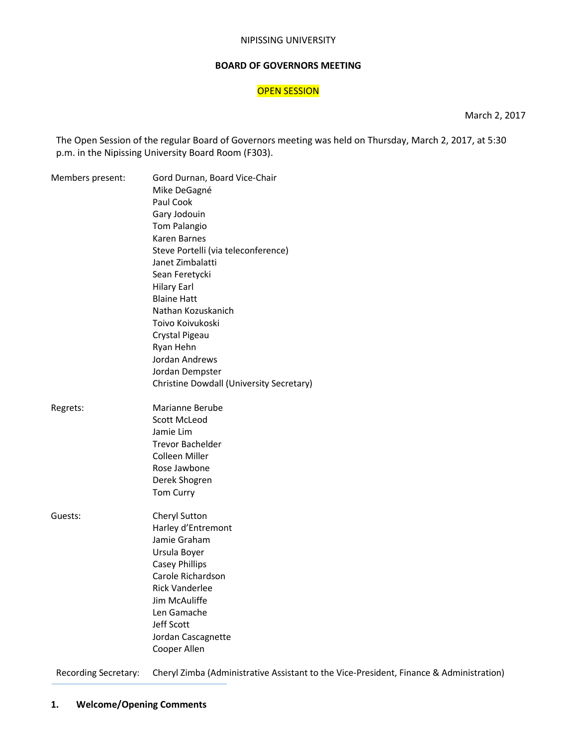#### NIPISSING UNIVERSITY

#### **BOARD OF GOVERNORS MEETING**

#### **OPEN SESSION**

March 2, 2017

The Open Session of the regular Board of Governors meeting was held on Thursday, March 2, 2017, at 5:30 p.m. in the Nipissing University Board Room (F303).

| Members present: | Gord Durnan, Board Vice-Chair<br>Mike DeGagné |
|------------------|-----------------------------------------------|
|                  | Paul Cook                                     |
|                  | Gary Jodouin                                  |
|                  | Tom Palangio                                  |
|                  | Karen Barnes                                  |
|                  | Steve Portelli (via teleconference)           |
|                  | Janet Zimbalatti                              |
|                  | Sean Feretycki                                |
|                  | <b>Hilary Earl</b>                            |
|                  | <b>Blaine Hatt</b>                            |
|                  | Nathan Kozuskanich                            |
|                  | Toivo Koivukoski                              |
|                  | Crystal Pigeau                                |
|                  | Ryan Hehn                                     |
|                  | Jordan Andrews                                |
|                  | Jordan Dempster                               |
|                  | Christine Dowdall (University Secretary)      |
|                  |                                               |
| Regrets:         | Marianne Berube                               |
|                  | <b>Scott McLeod</b>                           |
|                  | Jamie Lim                                     |
|                  | <b>Trevor Bachelder</b>                       |
|                  | Colleen Miller                                |
|                  | Rose Jawbone                                  |
|                  | Derek Shogren                                 |
|                  | <b>Tom Curry</b>                              |
| Guests:          | Cheryl Sutton                                 |
|                  | Harley d'Entremont                            |
|                  | Jamie Graham                                  |
|                  | Ursula Boyer                                  |
|                  | <b>Casey Phillips</b>                         |
|                  | Carole Richardson                             |
|                  | <b>Rick Vanderlee</b>                         |
|                  | Jim McAuliffe                                 |
|                  | Len Gamache                                   |
|                  | Jeff Scott                                    |
|                  | Jordan Cascagnette                            |
|                  | Cooper Allen                                  |
|                  |                                               |

Recording Secretary: Cheryl Zimba (Administrative Assistant to the Vice-President, Finance & Administration)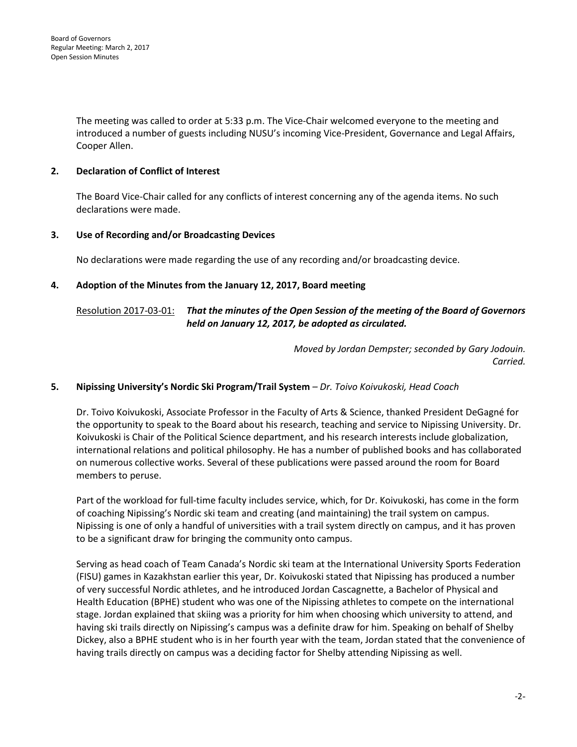The meeting was called to order at 5:33 p.m. The Vice-Chair welcomed everyone to the meeting and introduced a number of guests including NUSU's incoming Vice-President, Governance and Legal Affairs, Cooper Allen.

### **2. Declaration of Conflict of Interest**

The Board Vice-Chair called for any conflicts of interest concerning any of the agenda items. No such declarations were made.

#### **3. Use of Recording and/or Broadcasting Devices**

No declarations were made regarding the use of any recording and/or broadcasting device.

#### **4. Adoption of the Minutes from the January 12, 2017, Board meeting**

### Resolution 2017-03-01: *That the minutes of the Open Session of the meeting of the Board of Governors held on January 12, 2017, be adopted as circulated.*

*Moved by Jordan Dempster; seconded by Gary Jodouin. Carried.* 

#### **5. Nipissing University's Nordic Ski Program/Trail System** *– Dr. Toivo Koivukoski, Head Coach*

Dr. Toivo Koivukoski, Associate Professor in the Faculty of Arts & Science, thanked President DeGagné for the opportunity to speak to the Board about his research, teaching and service to Nipissing University. Dr. Koivukoski is Chair of the Political Science department, and his research interests include globalization, international relations and political philosophy. He has a number of published books and has collaborated on numerous collective works. Several of these publications were passed around the room for Board members to peruse.

Part of the workload for full-time faculty includes service, which, for Dr. Koivukoski, has come in the form of coaching Nipissing's Nordic ski team and creating (and maintaining) the trail system on campus. Nipissing is one of only a handful of universities with a trail system directly on campus, and it has proven to be a significant draw for bringing the community onto campus.

Serving as head coach of Team Canada's Nordic ski team at the International University Sports Federation (FISU) games in Kazakhstan earlier this year, Dr. Koivukoski stated that Nipissing has produced a number of very successful Nordic athletes, and he introduced Jordan Cascagnette, a Bachelor of Physical and Health Education (BPHE) student who was one of the Nipissing athletes to compete on the international stage. Jordan explained that skiing was a priority for him when choosing which university to attend, and having ski trails directly on Nipissing's campus was a definite draw for him. Speaking on behalf of Shelby Dickey, also a BPHE student who is in her fourth year with the team, Jordan stated that the convenience of having trails directly on campus was a deciding factor for Shelby attending Nipissing as well.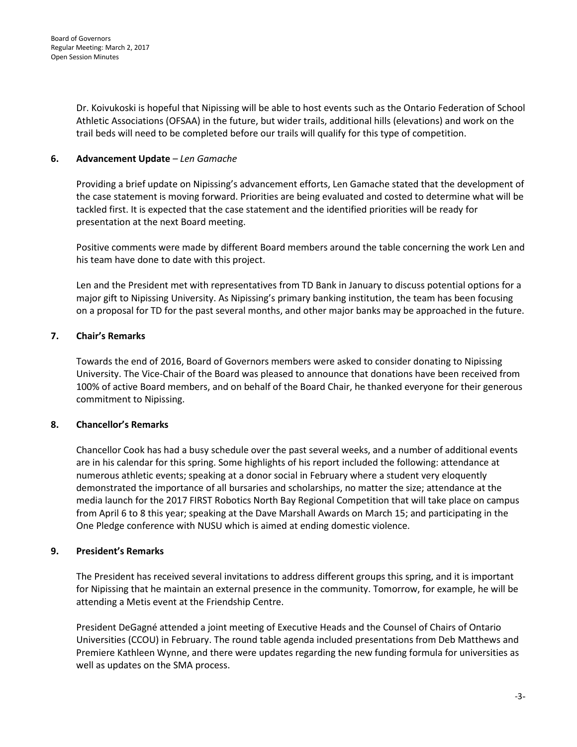Dr. Koivukoski is hopeful that Nipissing will be able to host events such as the Ontario Federation of School Athletic Associations (OFSAA) in the future, but wider trails, additional hills (elevations) and work on the trail beds will need to be completed before our trails will qualify for this type of competition.

#### **6. Advancement Update** *– Len Gamache*

Providing a brief update on Nipissing's advancement efforts, Len Gamache stated that the development of the case statement is moving forward. Priorities are being evaluated and costed to determine what will be tackled first. It is expected that the case statement and the identified priorities will be ready for presentation at the next Board meeting.

Positive comments were made by different Board members around the table concerning the work Len and his team have done to date with this project.

Len and the President met with representatives from TD Bank in January to discuss potential options for a major gift to Nipissing University. As Nipissing's primary banking institution, the team has been focusing on a proposal for TD for the past several months, and other major banks may be approached in the future.

#### **7. Chair's Remarks**

Towards the end of 2016, Board of Governors members were asked to consider donating to Nipissing University. The Vice-Chair of the Board was pleased to announce that donations have been received from 100% of active Board members, and on behalf of the Board Chair, he thanked everyone for their generous commitment to Nipissing.

#### **8. Chancellor's Remarks**

Chancellor Cook has had a busy schedule over the past several weeks, and a number of additional events are in his calendar for this spring. Some highlights of his report included the following: attendance at numerous athletic events; speaking at a donor social in February where a student very eloquently demonstrated the importance of all bursaries and scholarships, no matter the size; attendance at the media launch for the 2017 FIRST Robotics North Bay Regional Competition that will take place on campus from April 6 to 8 this year; speaking at the Dave Marshall Awards on March 15; and participating in the One Pledge conference with NUSU which is aimed at ending domestic violence.

#### **9. President's Remarks**

The President has received several invitations to address different groups this spring, and it is important for Nipissing that he maintain an external presence in the community. Tomorrow, for example, he will be attending a Metis event at the Friendship Centre.

President DeGagné attended a joint meeting of Executive Heads and the Counsel of Chairs of Ontario Universities (CCOU) in February. The round table agenda included presentations from Deb Matthews and Premiere Kathleen Wynne, and there were updates regarding the new funding formula for universities as well as updates on the SMA process.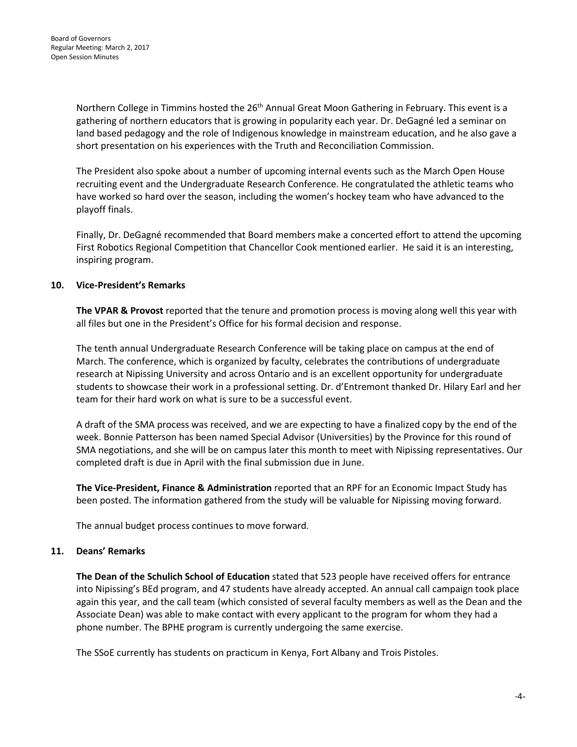Northern College in Timmins hosted the 26<sup>th</sup> Annual Great Moon Gathering in February. This event is a gathering of northern educators that is growing in popularity each year. Dr. DeGagné led a seminar on land based pedagogy and the role of Indigenous knowledge in mainstream education, and he also gave a short presentation on his experiences with the Truth and Reconciliation Commission.

The President also spoke about a number of upcoming internal events such as the March Open House recruiting event and the Undergraduate Research Conference. He congratulated the athletic teams who have worked so hard over the season, including the women's hockey team who have advanced to the playoff finals.

Finally, Dr. DeGagné recommended that Board members make a concerted effort to attend the upcoming First Robotics Regional Competition that Chancellor Cook mentioned earlier. He said it is an interesting, inspiring program.

#### **10. Vice-President's Remarks**

**The VPAR & Provost** reported that the tenure and promotion process is moving along well this year with all files but one in the President's Office for his formal decision and response.

The tenth annual Undergraduate Research Conference will be taking place on campus at the end of March. The conference, which is organized by faculty, celebrates the contributions of undergraduate research at Nipissing University and across Ontario and is an excellent opportunity for undergraduate students to showcase their work in a professional setting. Dr. d'Entremont thanked Dr. Hilary Earl and her team for their hard work on what is sure to be a successful event.

A draft of the SMA process was received, and we are expecting to have a finalized copy by the end of the week. Bonnie Patterson has been named Special Advisor (Universities) by the Province for this round of SMA negotiations, and she will be on campus later this month to meet with Nipissing representatives. Our completed draft is due in April with the final submission due in June.

**The Vice-President, Finance & Administration** reported that an RPF for an Economic Impact Study has been posted. The information gathered from the study will be valuable for Nipissing moving forward.

The annual budget process continues to move forward.

#### **11. Deans' Remarks**

**The Dean of the Schulich School of Education** stated that 523 people have received offers for entrance into Nipissing's BEd program, and 47 students have already accepted. An annual call campaign took place again this year, and the call team (which consisted of several faculty members as well as the Dean and the Associate Dean) was able to make contact with every applicant to the program for whom they had a phone number. The BPHE program is currently undergoing the same exercise.

The SSoE currently has students on practicum in Kenya, Fort Albany and Trois Pistoles.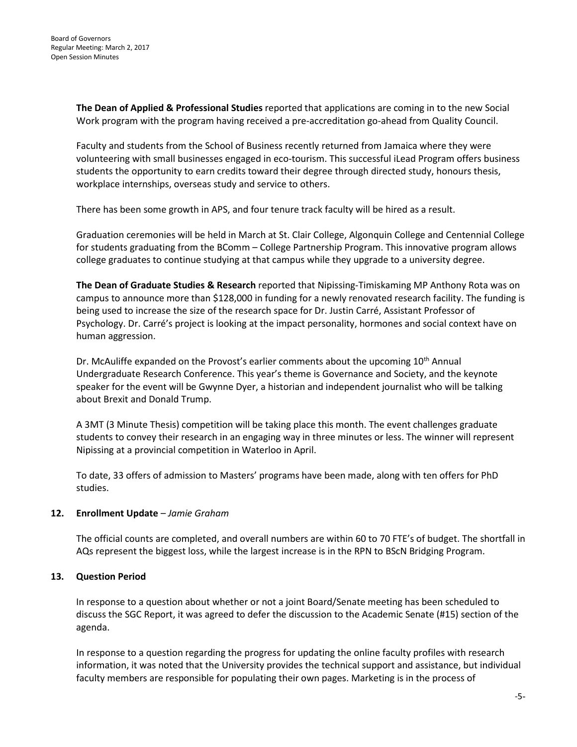**The Dean of Applied & Professional Studies** reported that applications are coming in to the new Social Work program with the program having received a pre-accreditation go-ahead from Quality Council.

Faculty and students from the School of Business recently returned from Jamaica where they were volunteering with small businesses engaged in eco-tourism. This successful iLead Program offers business students the opportunity to earn credits toward their degree through directed study, honours thesis, workplace internships, overseas study and service to others.

There has been some growth in APS, and four tenure track faculty will be hired as a result.

Graduation ceremonies will be held in March at St. Clair College, Algonquin College and Centennial College for students graduating from the BComm – College Partnership Program. This innovative program allows college graduates to continue studying at that campus while they upgrade to a university degree.

**The Dean of Graduate Studies & Research** reported that Nipissing-Timiskaming MP Anthony Rota was on campus to announce more than \$128,000 in funding for a newly renovated research facility. The funding is being used to increase the size of the research space for Dr. Justin Carré, Assistant Professor of Psychology. Dr. Carré's project is looking at the impact personality, hormones and social context have on human aggression.

Dr. McAuliffe expanded on the Provost's earlier comments about the upcoming 10<sup>th</sup> Annual Undergraduate Research Conference. This year's theme is Governance and Society, and the keynote speaker for the event will be Gwynne Dyer, a historian and independent journalist who will be talking about Brexit and Donald Trump.

A 3MT (3 Minute Thesis) competition will be taking place this month. The event challenges graduate students to convey their research in an engaging way in three minutes or less. The winner will represent Nipissing at a provincial competition in Waterloo in April.

To date, 33 offers of admission to Masters' programs have been made, along with ten offers for PhD studies.

#### **12. Enrollment Update** *– Jamie Graham*

The official counts are completed, and overall numbers are within 60 to 70 FTE's of budget. The shortfall in AQs represent the biggest loss, while the largest increase is in the RPN to BScN Bridging Program.

#### **13. Question Period**

In response to a question about whether or not a joint Board/Senate meeting has been scheduled to discuss the SGC Report, it was agreed to defer the discussion to the Academic Senate (#15) section of the agenda.

In response to a question regarding the progress for updating the online faculty profiles with research information, it was noted that the University provides the technical support and assistance, but individual faculty members are responsible for populating their own pages. Marketing is in the process of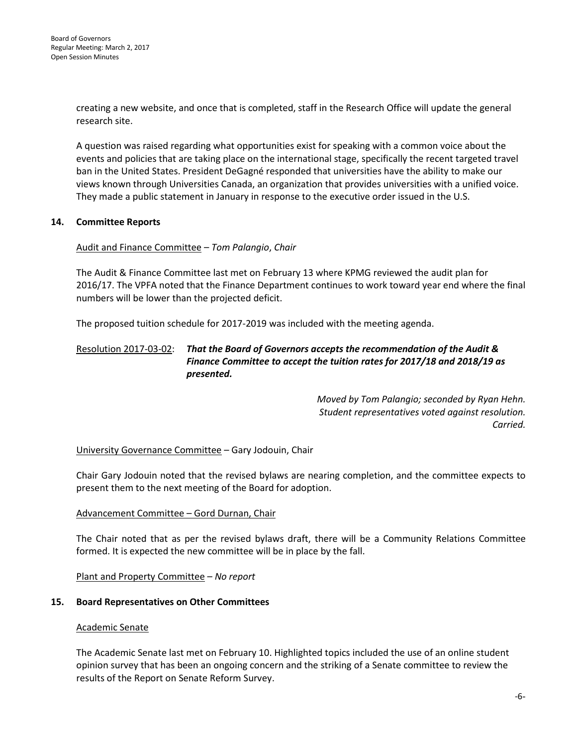creating a new website, and once that is completed, staff in the Research Office will update the general research site.

A question was raised regarding what opportunities exist for speaking with a common voice about the events and policies that are taking place on the international stage, specifically the recent targeted travel ban in the United States. President DeGagné responded that universities have the ability to make our views known through Universities Canada, an organization that provides universities with a unified voice. They made a public statement in January in response to the executive order issued in the U.S.

#### **14. Committee Reports**

#### Audit and Finance Committee – *Tom Palangio*, *Chair*

The Audit & Finance Committee last met on February 13 where KPMG reviewed the audit plan for 2016/17. The VPFA noted that the Finance Department continues to work toward year end where the final numbers will be lower than the projected deficit.

The proposed tuition schedule for 2017-2019 was included with the meeting agenda.

### Resolution 2017-03-02: *That the Board of Governors accepts the recommendation of the Audit & Finance Committee to accept the tuition rates for 2017/18 and 2018/19 as presented.*

*Moved by Tom Palangio; seconded by Ryan Hehn. Student representatives voted against resolution. Carried.* 

#### University Governance Committee – Gary Jodouin, Chair

Chair Gary Jodouin noted that the revised bylaws are nearing completion, and the committee expects to present them to the next meeting of the Board for adoption.

#### Advancement Committee – Gord Durnan, Chair

The Chair noted that as per the revised bylaws draft, there will be a Community Relations Committee formed. It is expected the new committee will be in place by the fall.

Plant and Property Committee – *No report*

#### **15. Board Representatives on Other Committees**

#### Academic Senate

The Academic Senate last met on February 10. Highlighted topics included the use of an online student opinion survey that has been an ongoing concern and the striking of a Senate committee to review the results of the Report on Senate Reform Survey.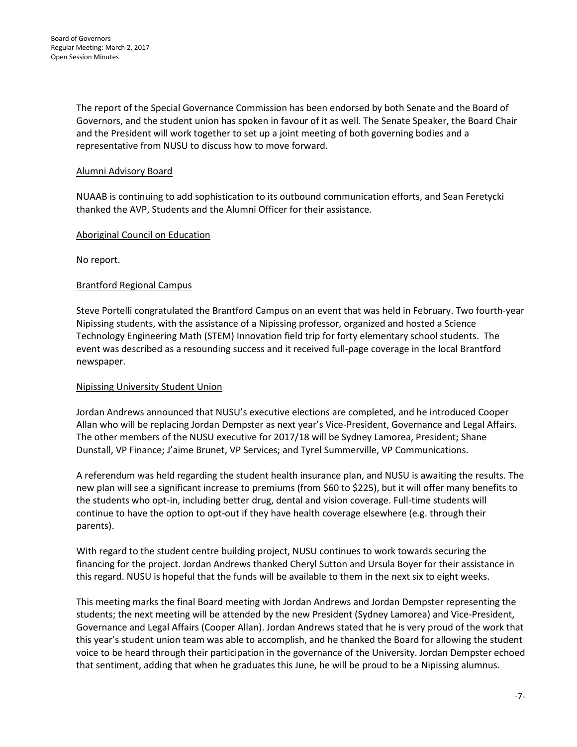The report of the Special Governance Commission has been endorsed by both Senate and the Board of Governors, and the student union has spoken in favour of it as well. The Senate Speaker, the Board Chair and the President will work together to set up a joint meeting of both governing bodies and a representative from NUSU to discuss how to move forward.

#### Alumni Advisory Board

NUAAB is continuing to add sophistication to its outbound communication efforts, and Sean Feretycki thanked the AVP, Students and the Alumni Officer for their assistance.

#### Aboriginal Council on Education

No report.

#### Brantford Regional Campus

Steve Portelli congratulated the Brantford Campus on an event that was held in February. Two fourth-year Nipissing students, with the assistance of a Nipissing professor, organized and hosted a Science Technology Engineering Math (STEM) Innovation field trip for forty elementary school students. The event was described as a resounding success and it received full-page coverage in the local Brantford newspaper.

#### Nipissing University Student Union

Jordan Andrews announced that NUSU's executive elections are completed, and he introduced Cooper Allan who will be replacing Jordan Dempster as next year's Vice-President, Governance and Legal Affairs. The other members of the NUSU executive for 2017/18 will be Sydney Lamorea, President; Shane Dunstall, VP Finance; J'aime Brunet, VP Services; and Tyrel Summerville, VP Communications.

A referendum was held regarding the student health insurance plan, and NUSU is awaiting the results. The new plan will see a significant increase to premiums (from \$60 to \$225), but it will offer many benefits to the students who opt-in, including better drug, dental and vision coverage. Full-time students will continue to have the option to opt-out if they have health coverage elsewhere (e.g. through their parents).

With regard to the student centre building project, NUSU continues to work towards securing the financing for the project. Jordan Andrews thanked Cheryl Sutton and Ursula Boyer for their assistance in this regard. NUSU is hopeful that the funds will be available to them in the next six to eight weeks.

This meeting marks the final Board meeting with Jordan Andrews and Jordan Dempster representing the students; the next meeting will be attended by the new President (Sydney Lamorea) and Vice-President, Governance and Legal Affairs (Cooper Allan). Jordan Andrews stated that he is very proud of the work that this year's student union team was able to accomplish, and he thanked the Board for allowing the student voice to be heard through their participation in the governance of the University. Jordan Dempster echoed that sentiment, adding that when he graduates this June, he will be proud to be a Nipissing alumnus.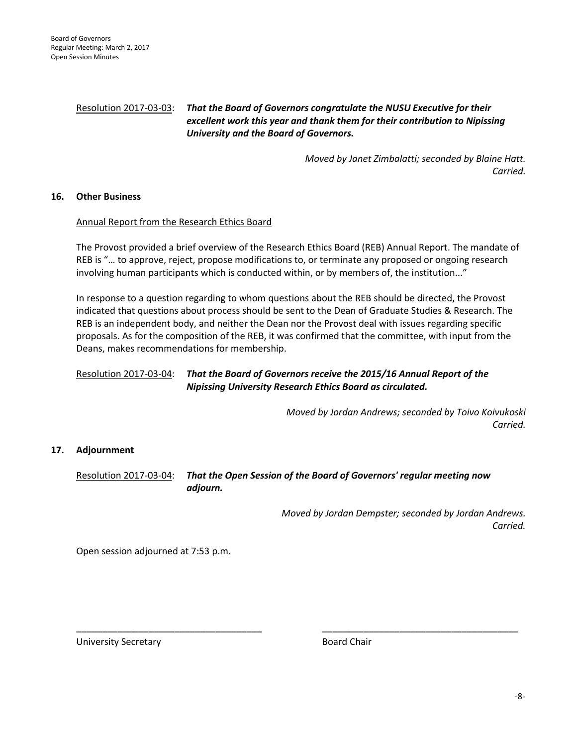#### Resolution 2017-03-03: *That the Board of Governors congratulate the NUSU Executive for their excellent work this year and thank them for their contribution to Nipissing University and the Board of Governors.*

*Moved by Janet Zimbalatti; seconded by Blaine Hatt. Carried.*

#### **16. Other Business**

#### Annual Report from the Research Ethics Board

The Provost provided a brief overview of the Research Ethics Board (REB) Annual Report. The mandate of REB is "… to approve, reject, propose modifications to, or terminate any proposed or ongoing research involving human participants which is conducted within, or by members of, the institution..."

In response to a question regarding to whom questions about the REB should be directed, the Provost indicated that questions about process should be sent to the Dean of Graduate Studies & Research. The REB is an independent body, and neither the Dean nor the Provost deal with issues regarding specific proposals. As for the composition of the REB, it was confirmed that the committee, with input from the Deans, makes recommendations for membership.

#### Resolution 2017-03-04: *That the Board of Governors receive the 2015/16 Annual Report of the Nipissing University Research Ethics Board as circulated.*

*Moved by Jordan Andrews; seconded by Toivo Koivukoski Carried.*

#### **17. Adjournment**

Resolution 2017-03-04: *That the Open Session of the Board of Governors' regular meeting now adjourn.*

\_\_\_\_\_\_\_\_\_\_\_\_\_\_\_\_\_\_\_\_\_\_\_\_\_\_\_\_\_\_\_\_\_\_\_\_ \_\_\_\_\_\_\_\_\_\_\_\_\_\_\_\_\_\_\_\_\_\_\_\_\_\_\_\_\_\_\_\_\_\_\_\_\_\_

*Moved by Jordan Dempster; seconded by Jordan Andrews. Carried.* 

Open session adjourned at 7:53 p.m.

University Secretary **Board Chair**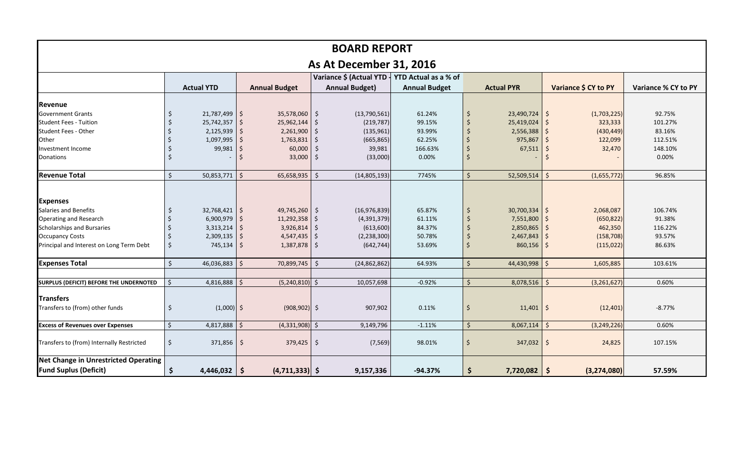| <b>BOARD REPORT</b>                            |              |                   |            |                      |         |                                                            |                      |             |                   |                          |                      |                            |
|------------------------------------------------|--------------|-------------------|------------|----------------------|---------|------------------------------------------------------------|----------------------|-------------|-------------------|--------------------------|----------------------|----------------------------|
| <b>As At December 31, 2016</b>                 |              |                   |            |                      |         |                                                            |                      |             |                   |                          |                      |                            |
|                                                |              |                   |            |                      |         | Variance \$ (Actual YTD $\frac{1}{2}$ YTD Actual as a % of |                      |             |                   |                          |                      |                            |
|                                                |              | <b>Actual YTD</b> |            | <b>Annual Budget</b> |         | <b>Annual Budget)</b>                                      | <b>Annual Budget</b> |             | <b>Actual PYR</b> |                          | Variance \$ CY to PY | <b>Variance % CY to PY</b> |
| Revenue                                        |              |                   |            |                      |         |                                                            |                      |             |                   |                          |                      |                            |
| <b>Government Grants</b>                       |              | $21,787,499$ \$   |            | $35,578,060$ \$      |         | (13,790,561)                                               | 61.24%               |             | $23,490,724$ \$   |                          | (1,703,225)          | 92.75%                     |
| <b>Student Fees - Tuition</b>                  |              | $25,742,357$ \$   |            | 25,962,144           | -\$     | (219, 787)                                                 | 99.15%               |             | 25,419,024        |                          | 323,333              | 101.27%                    |
| <b>Student Fees - Other</b>                    |              | $2,125,939$ \$    |            | 2,261,900            | l \$    | (135, 961)                                                 | 93.99%               |             | 2,556,388         |                          | (430, 449)           | 83.16%                     |
| Other                                          |              | 1,097,995         |            | 1,763,831            |         | (665, 865)                                                 | 62.25%               |             | 975,867           |                          | 122,099              | 112.51%                    |
| Investment Income                              |              | 99,981            | $\vert$ \$ | 60,000               |         | 39,981                                                     | 166.63%              |             | 67,511            |                          | 32,470               | 148.10%                    |
| <b>Donations</b>                               |              |                   |            | 33,000               | l Ş     | (33,000)                                                   | 0.00%                |             |                   |                          |                      | 0.00%                      |
| <b>Revenue Total</b>                           | $\zeta$      | 50,853,771        | $\zeta$    | 65,658,935           | $\zeta$ | (14,805,193)                                               | 7745%                | $\zeta$     | 52,509,514        | $\zeta$                  | (1,655,772)          | 96.85%                     |
|                                                |              |                   |            |                      |         |                                                            |                      |             |                   |                          |                      |                            |
| <b>Expenses</b>                                |              |                   |            |                      |         |                                                            |                      |             |                   |                          |                      |                            |
| Salaries and Benefits                          |              | $32,768,421$ \$   |            | $49,745,260$ \$      |         | (16, 976, 839)                                             | 65.87%               |             | 30,700,334        | $\overline{\phantom{a}}$ | 2,068,087            | 106.74%                    |
| <b>Operating and Research</b>                  |              | $6,900,979$ \$    |            | $11,292,358$ \$      |         | (4,391,379)                                                | 61.11%               |             | 7,551,800         |                          | (650, 822)           | 91.38%                     |
| <b>Scholarships and Bursaries</b>              |              | $3,313,214$ \$    |            | 3,926,814            | -\$     | (613,600)                                                  | 84.37%               |             | 2,850,865         |                          | 462,350              | 116.22%                    |
| <b>Occupancy Costs</b>                         |              | 2,309,135         |            | 4,547,435            | -Ş      | (2, 238, 300)                                              | 50.78%               |             | 2,467,843         |                          | (158, 708)           | 93.57%                     |
| Principal and Interest on Long Term Debt       | $\zeta$      | $745,134$   \$    |            | $1,387,878$ \$       |         | (642, 744)                                                 | 53.69%               |             | 860,156           |                          | (115, 022)           | 86.63%                     |
| <b>Expenses Total</b>                          | $\zeta$      | $46,036,883$ \$   |            | 70,899,745   \$      |         | (24, 862, 862)                                             | 64.93%               | $\zeta$     | 44,430,998        | $\zeta$                  | 1,605,885            | 103.61%                    |
|                                                |              |                   |            |                      |         |                                                            |                      |             |                   |                          |                      |                            |
| <b>SURPLUS (DEFICIT) BEFORE THE UNDERNOTED</b> | $\mathsf{S}$ | $4,816,888$ \$    |            | $(5,240,810)$ \$     |         | 10,057,698                                                 | $-0.92%$             | $\zeta$     | $8,078,516$ \$    |                          | (3,261,627)          | 0.60%                      |
| <b>Transfers</b>                               |              |                   |            |                      |         |                                                            |                      |             |                   |                          |                      |                            |
| Transfers to (from) other funds                | -\$          | $(1,000)$ \$      |            | $(908, 902)$ \$      |         | 907,902                                                    | 0.11%                | $\varsigma$ | $11,401$   \$     |                          | (12, 401)            | $-8.77%$                   |
| <b>Excess of Revenues over Expenses</b>        |              | $4,817,888$ \$    |            | $(4,331,908)$ \$     |         | 9,149,796                                                  | $-1.11%$             | $\varsigma$ | 8,067,114         | $\mathsf{S}$             | (3, 249, 226)        | 0.60%                      |
| Transfers to (from) Internally Restricted      | $\varsigma$  | $371,856$ \$      |            | $379,425$ \$         |         | (7, 569)                                                   | 98.01%               | -\$         | $347,032$ \$      |                          | 24,825               | 107.15%                    |
| Net Change in Unrestricted Operating           |              |                   |            |                      |         |                                                            |                      |             |                   |                          |                      |                            |
| <b>Fund Suplus (Deficit)</b>                   |              | $4,446,032$   \$  |            | $(4, 711, 333)$ \$   |         | 9,157,336                                                  | $-94.37%$            | \$          | $7,720,082$ \$    |                          | (3, 274, 080)        | 57.59%                     |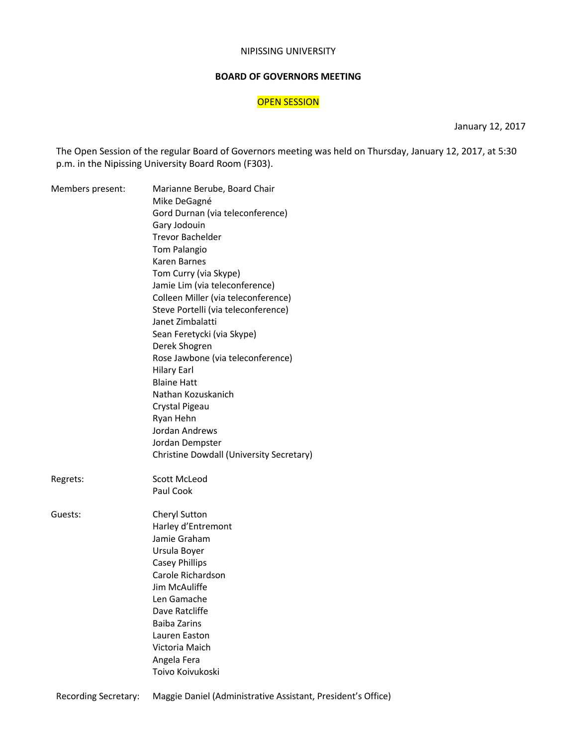#### NIPISSING UNIVERSITY

#### **BOARD OF GOVERNORS MEETING**

#### OPEN SESSION

January 12, 2017

The Open Session of the regular Board of Governors meeting was held on Thursday, January 12, 2017, at 5:30 p.m. in the Nipissing University Board Room (F303).

| Members present: | Marianne Berube, Board Chair<br>Mike DeGagné<br>Gord Durnan (via teleconference)<br>Gary Jodouin<br><b>Trevor Bachelder</b><br>Tom Palangio<br>Karen Barnes<br>Tom Curry (via Skype)<br>Jamie Lim (via teleconference)<br>Colleen Miller (via teleconference)<br>Steve Portelli (via teleconference)<br>Janet Zimbalatti<br>Sean Feretycki (via Skype)<br>Derek Shogren<br>Rose Jawbone (via teleconference)<br><b>Hilary Earl</b><br><b>Blaine Hatt</b><br>Nathan Kozuskanich<br>Crystal Pigeau<br>Ryan Hehn<br>Jordan Andrews<br>Jordan Dempster |
|------------------|----------------------------------------------------------------------------------------------------------------------------------------------------------------------------------------------------------------------------------------------------------------------------------------------------------------------------------------------------------------------------------------------------------------------------------------------------------------------------------------------------------------------------------------------------|
|                  | Christine Dowdall (University Secretary)                                                                                                                                                                                                                                                                                                                                                                                                                                                                                                           |
| Regrets:         | Scott McLeod<br>Paul Cook                                                                                                                                                                                                                                                                                                                                                                                                                                                                                                                          |
| Guests:          | Cheryl Sutton<br>Harley d'Entremont<br>Jamie Graham<br>Ursula Boyer<br><b>Casey Phillips</b><br>Carole Richardson<br>Jim McAuliffe<br>Len Gamache<br>Dave Ratcliffe<br><b>Baiba Zarins</b><br>Lauren Easton<br>Victoria Maich<br>Angela Fera<br>Toivo Koivukoski                                                                                                                                                                                                                                                                                   |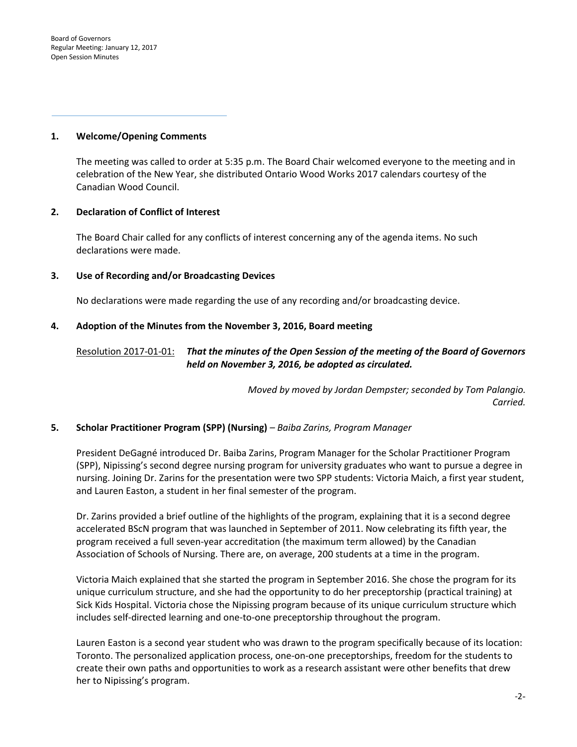Board of Governors Regular Meeting: January 12, 2017 Open Session Minutes

#### **1. Welcome/Opening Comments**

The meeting was called to order at 5:35 p.m. The Board Chair welcomed everyone to the meeting and in celebration of the New Year, she distributed Ontario Wood Works 2017 calendars courtesy of the Canadian Wood Council.

#### **2. Declaration of Conflict of Interest**

The Board Chair called for any conflicts of interest concerning any of the agenda items. No such declarations were made.

#### **3. Use of Recording and/or Broadcasting Devices**

No declarations were made regarding the use of any recording and/or broadcasting device.

#### **4. Adoption of the Minutes from the November 3, 2016, Board meeting**

#### Resolution 2017-01-01: *That the minutes of the Open Session of the meeting of the Board of Governors held on November 3, 2016, be adopted as circulated.*

*Moved by moved by Jordan Dempster; seconded by Tom Palangio. Carried.* 

#### **5. Scholar Practitioner Program (SPP) (Nursing)** *– Baiba Zarins, Program Manager*

President DeGagné introduced Dr. Baiba Zarins, Program Manager for the Scholar Practitioner Program (SPP), Nipissing's second degree nursing program for university graduates who want to pursue a degree in nursing. Joining Dr. Zarins for the presentation were two SPP students: Victoria Maich, a first year student, and Lauren Easton, a student in her final semester of the program.

Dr. Zarins provided a brief outline of the highlights of the program, explaining that it is a second degree accelerated BScN program that was launched in September of 2011. Now celebrating its fifth year, the program received a full seven-year accreditation (the maximum term allowed) by the Canadian Association of Schools of Nursing. There are, on average, 200 students at a time in the program.

Victoria Maich explained that she started the program in September 2016. She chose the program for its unique curriculum structure, and she had the opportunity to do her preceptorship (practical training) at Sick Kids Hospital. Victoria chose the Nipissing program because of its unique curriculum structure which includes self-directed learning and one-to-one preceptorship throughout the program.

Lauren Easton is a second year student who was drawn to the program specifically because of its location: Toronto. The personalized application process, one-on-one preceptorships, freedom for the students to create their own paths and opportunities to work as a research assistant were other benefits that drew her to Nipissing's program.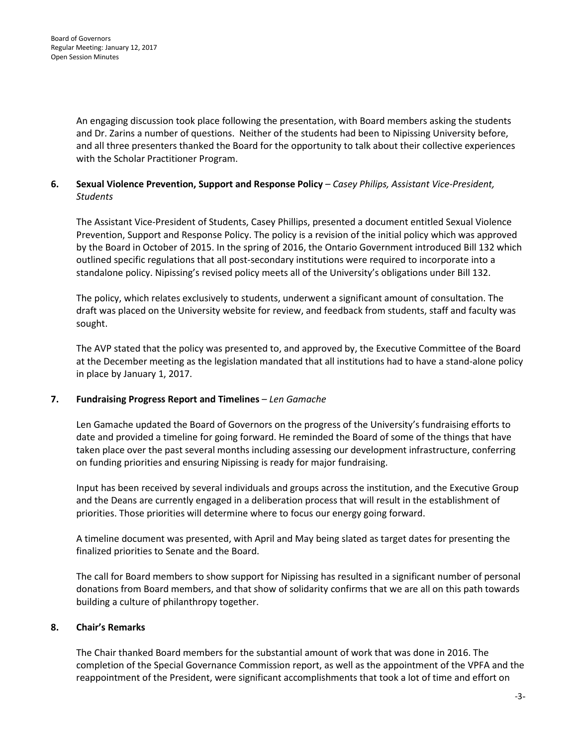An engaging discussion took place following the presentation, with Board members asking the students and Dr. Zarins a number of questions. Neither of the students had been to Nipissing University before, and all three presenters thanked the Board for the opportunity to talk about their collective experiences with the Scholar Practitioner Program.

#### **6. Sexual Violence Prevention, Support and Response Policy** *– Casey Philips, Assistant Vice-President, Students*

The Assistant Vice-President of Students, Casey Phillips, presented a document entitled Sexual Violence Prevention, Support and Response Policy. The policy is a revision of the initial policy which was approved by the Board in October of 2015. In the spring of 2016, the Ontario Government introduced Bill 132 which outlined specific regulations that all post-secondary institutions were required to incorporate into a standalone policy. Nipissing's revised policy meets all of the University's obligations under Bill 132.

The policy, which relates exclusively to students, underwent a significant amount of consultation. The draft was placed on the University website for review, and feedback from students, staff and faculty was sought.

The AVP stated that the policy was presented to, and approved by, the Executive Committee of the Board at the December meeting as the legislation mandated that all institutions had to have a stand-alone policy in place by January 1, 2017.

### **7. Fundraising Progress Report and Timelines** *– Len Gamache*

Len Gamache updated the Board of Governors on the progress of the University's fundraising efforts to date and provided a timeline for going forward. He reminded the Board of some of the things that have taken place over the past several months including assessing our development infrastructure, conferring on funding priorities and ensuring Nipissing is ready for major fundraising.

Input has been received by several individuals and groups across the institution, and the Executive Group and the Deans are currently engaged in a deliberation process that will result in the establishment of priorities. Those priorities will determine where to focus our energy going forward.

A timeline document was presented, with April and May being slated as target dates for presenting the finalized priorities to Senate and the Board.

The call for Board members to show support for Nipissing has resulted in a significant number of personal donations from Board members, and that show of solidarity confirms that we are all on this path towards building a culture of philanthropy together.

#### **8. Chair's Remarks**

The Chair thanked Board members for the substantial amount of work that was done in 2016. The completion of the Special Governance Commission report, as well as the appointment of the VPFA and the reappointment of the President, were significant accomplishments that took a lot of time and effort on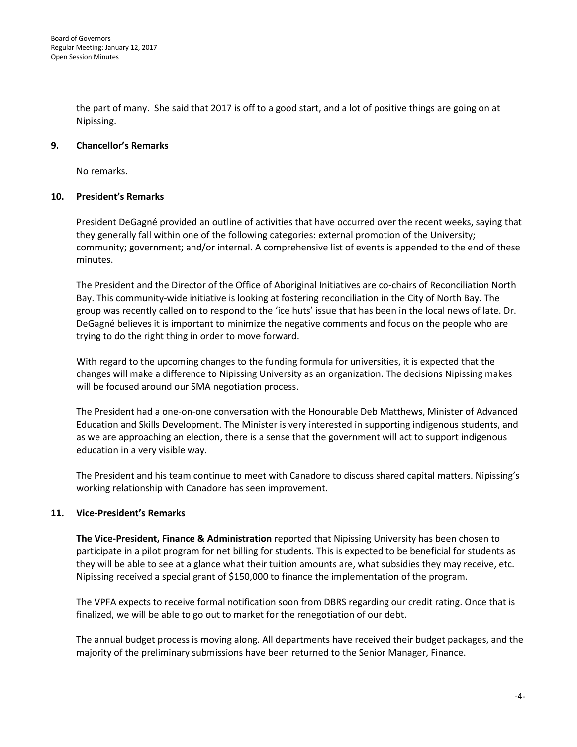the part of many. She said that 2017 is off to a good start, and a lot of positive things are going on at Nipissing.

#### **9. Chancellor's Remarks**

No remarks.

#### **10. President's Remarks**

President DeGagné provided an outline of activities that have occurred over the recent weeks, saying that they generally fall within one of the following categories: external promotion of the University; community; government; and/or internal. A comprehensive list of events is appended to the end of these minutes.

The President and the Director of the Office of Aboriginal Initiatives are co-chairs of Reconciliation North Bay. This community-wide initiative is looking at fostering reconciliation in the City of North Bay. The group was recently called on to respond to the 'ice huts' issue that has been in the local news of late. Dr. DeGagné believes it is important to minimize the negative comments and focus on the people who are trying to do the right thing in order to move forward.

With regard to the upcoming changes to the funding formula for universities, it is expected that the changes will make a difference to Nipissing University as an organization. The decisions Nipissing makes will be focused around our SMA negotiation process.

The President had a one-on-one conversation with the Honourable Deb Matthews, Minister of Advanced Education and Skills Development. The Minister is very interested in supporting indigenous students, and as we are approaching an election, there is a sense that the government will act to support indigenous education in a very visible way.

The President and his team continue to meet with Canadore to discuss shared capital matters. Nipissing's working relationship with Canadore has seen improvement.

#### **11. Vice-President's Remarks**

**The Vice-President, Finance & Administration** reported that Nipissing University has been chosen to participate in a pilot program for net billing for students. This is expected to be beneficial for students as they will be able to see at a glance what their tuition amounts are, what subsidies they may receive, etc. Nipissing received a special grant of \$150,000 to finance the implementation of the program.

The VPFA expects to receive formal notification soon from DBRS regarding our credit rating. Once that is finalized, we will be able to go out to market for the renegotiation of our debt.

The annual budget process is moving along. All departments have received their budget packages, and the majority of the preliminary submissions have been returned to the Senior Manager, Finance.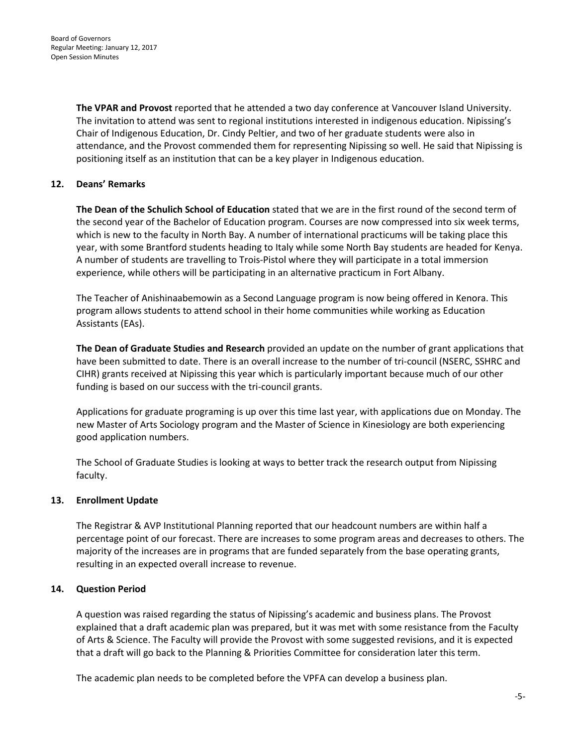**The VPAR and Provost** reported that he attended a two day conference at Vancouver Island University. The invitation to attend was sent to regional institutions interested in indigenous education. Nipissing's Chair of Indigenous Education, Dr. Cindy Peltier, and two of her graduate students were also in attendance, and the Provost commended them for representing Nipissing so well. He said that Nipissing is positioning itself as an institution that can be a key player in Indigenous education.

#### **12. Deans' Remarks**

**The Dean of the Schulich School of Education** stated that we are in the first round of the second term of the second year of the Bachelor of Education program. Courses are now compressed into six week terms, which is new to the faculty in North Bay. A number of international practicums will be taking place this year, with some Brantford students heading to Italy while some North Bay students are headed for Kenya. A number of students are travelling to Trois-Pistol where they will participate in a total immersion experience, while others will be participating in an alternative practicum in Fort Albany.

The Teacher of Anishinaabemowin as a Second Language program is now being offered in Kenora. This program allows students to attend school in their home communities while working as Education Assistants (EAs).

**The Dean of Graduate Studies and Research** provided an update on the number of grant applications that have been submitted to date. There is an overall increase to the number of tri-council (NSERC, SSHRC and CIHR) grants received at Nipissing this year which is particularly important because much of our other funding is based on our success with the tri-council grants.

Applications for graduate programing is up over this time last year, with applications due on Monday. The new Master of Arts Sociology program and the Master of Science in Kinesiology are both experiencing good application numbers.

The School of Graduate Studies is looking at ways to better track the research output from Nipissing faculty.

#### **13. Enrollment Update**

The Registrar & AVP Institutional Planning reported that our headcount numbers are within half a percentage point of our forecast. There are increases to some program areas and decreases to others. The majority of the increases are in programs that are funded separately from the base operating grants, resulting in an expected overall increase to revenue.

#### **14. Question Period**

A question was raised regarding the status of Nipissing's academic and business plans. The Provost explained that a draft academic plan was prepared, but it was met with some resistance from the Faculty of Arts & Science. The Faculty will provide the Provost with some suggested revisions, and it is expected that a draft will go back to the Planning & Priorities Committee for consideration later this term.

The academic plan needs to be completed before the VPFA can develop a business plan.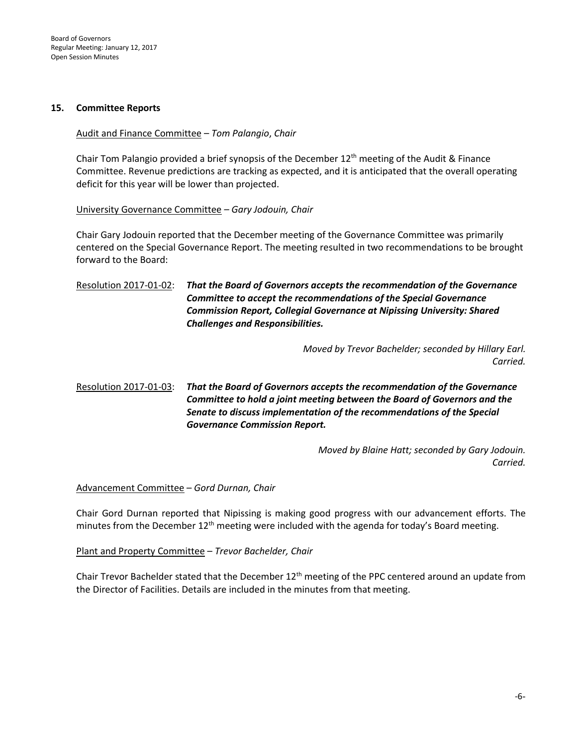Board of Governors Regular Meeting: January 12, 2017 Open Session Minutes

#### **15. Committee Reports**

#### Audit and Finance Committee – *Tom Palangio*, *Chair*

Chair Tom Palangio provided a brief synopsis of the December  $12<sup>th</sup>$  meeting of the Audit & Finance Committee. Revenue predictions are tracking as expected, and it is anticipated that the overall operating deficit for this year will be lower than projected.

#### University Governance Committee *– Gary Jodouin, Chair*

Chair Gary Jodouin reported that the December meeting of the Governance Committee was primarily centered on the Special Governance Report. The meeting resulted in two recommendations to be brought forward to the Board:

### Resolution 2017-01-02: *That the Board of Governors accepts the recommendation of the Governance Committee to accept the recommendations of the Special Governance Commission Report, Collegial Governance at Nipissing University: Shared Challenges and Responsibilities.*

*Moved by Trevor Bachelder; seconded by Hillary Earl. Carried.* 

### Resolution 2017-01-03: *That the Board of Governors accepts the recommendation of the Governance Committee to hold a joint meeting between the Board of Governors and the Senate to discuss implementation of the recommendations of the Special Governance Commission Report.*

*Moved by Blaine Hatt; seconded by Gary Jodouin. Carried.* 

#### Advancement Committee – *Gord Durnan, Chair*

Chair Gord Durnan reported that Nipissing is making good progress with our advancement efforts. The minutes from the December  $12^{th}$  meeting were included with the agenda for today's Board meeting.

#### Plant and Property Committee – *Trevor Bachelder, Chair*

Chair Trevor Bachelder stated that the December  $12<sup>th</sup>$  meeting of the PPC centered around an update from the Director of Facilities. Details are included in the minutes from that meeting.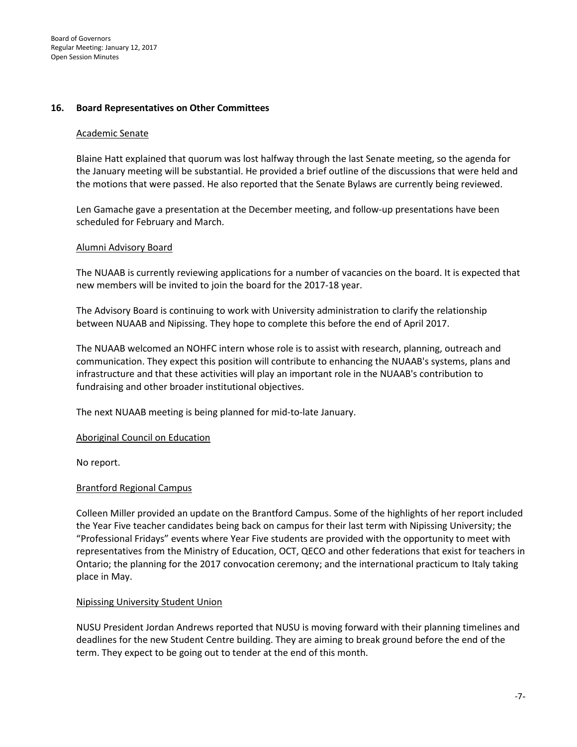#### **16. Board Representatives on Other Committees**

#### Academic Senate

Blaine Hatt explained that quorum was lost halfway through the last Senate meeting, so the agenda for the January meeting will be substantial. He provided a brief outline of the discussions that were held and the motions that were passed. He also reported that the Senate Bylaws are currently being reviewed.

Len Gamache gave a presentation at the December meeting, and follow-up presentations have been scheduled for February and March.

#### Alumni Advisory Board

The NUAAB is currently reviewing applications for a number of vacancies on the board. It is expected that new members will be invited to join the board for the 2017-18 year.

The Advisory Board is continuing to work with University administration to clarify the relationship between NUAAB and Nipissing. They hope to complete this before the end of April 2017.

The NUAAB welcomed an NOHFC intern whose role is to assist with research, planning, outreach and communication. They expect this position will contribute to enhancing the NUAAB's systems, plans and infrastructure and that these activities will play an important role in the NUAAB's contribution to fundraising and other broader institutional objectives.

The next NUAAB meeting is being planned for mid-to-late January.

Aboriginal Council on Education

No report.

#### Brantford Regional Campus

Colleen Miller provided an update on the Brantford Campus. Some of the highlights of her report included the Year Five teacher candidates being back on campus for their last term with Nipissing University; the "Professional Fridays" events where Year Five students are provided with the opportunity to meet with representatives from the Ministry of Education, OCT, QECO and other federations that exist for teachers in Ontario; the planning for the 2017 convocation ceremony; and the international practicum to Italy taking place in May.

#### Nipissing University Student Union

NUSU President Jordan Andrews reported that NUSU is moving forward with their planning timelines and deadlines for the new Student Centre building. They are aiming to break ground before the end of the term. They expect to be going out to tender at the end of this month.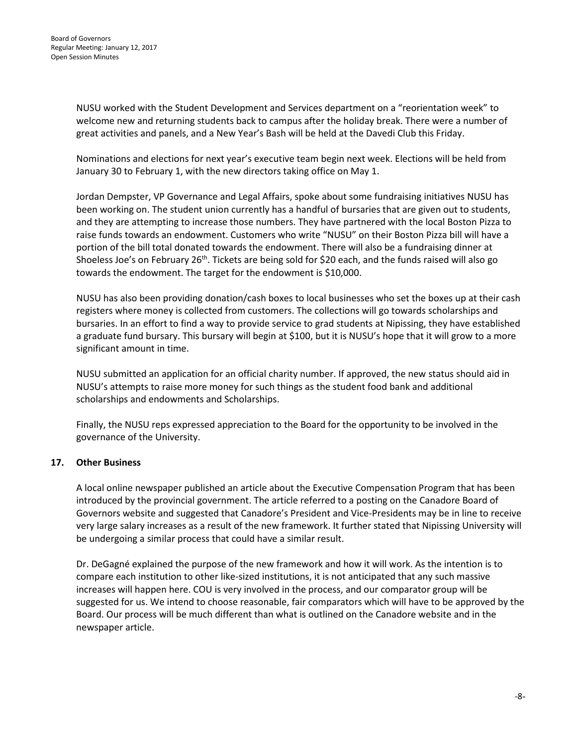NUSU worked with the Student Development and Services department on a "reorientation week" to welcome new and returning students back to campus after the holiday break. There were a number of great activities and panels, and a New Year's Bash will be held at the Davedi Club this Friday.

Nominations and elections for next year's executive team begin next week. Elections will be held from January 30 to February 1, with the new directors taking office on May 1.

Jordan Dempster, VP Governance and Legal Affairs, spoke about some fundraising initiatives NUSU has been working on. The student union currently has a handful of bursaries that are given out to students, and they are attempting to increase those numbers. They have partnered with the local Boston Pizza to raise funds towards an endowment. Customers who write "NUSU" on their Boston Pizza bill will have a portion of the bill total donated towards the endowment. There will also be a fundraising dinner at Shoeless Joe's on February 26<sup>th</sup>. Tickets are being sold for \$20 each, and the funds raised will also go towards the endowment. The target for the endowment is \$10,000.

NUSU has also been providing donation/cash boxes to local businesses who set the boxes up at their cash registers where money is collected from customers. The collections will go towards scholarships and bursaries. In an effort to find a way to provide service to grad students at Nipissing, they have established a graduate fund bursary. This bursary will begin at \$100, but it is NUSU's hope that it will grow to a more significant amount in time.

NUSU submitted an application for an official charity number. If approved, the new status should aid in NUSU's attempts to raise more money for such things as the student food bank and additional scholarships and endowments and Scholarships.

Finally, the NUSU reps expressed appreciation to the Board for the opportunity to be involved in the governance of the University.

#### **17. Other Business**

A local online newspaper published an article about the Executive Compensation Program that has been introduced by the provincial government. The article referred to a posting on the Canadore Board of Governors website and suggested that Canadore's President and Vice-Presidents may be in line to receive very large salary increases as a result of the new framework. It further stated that Nipissing University will be undergoing a similar process that could have a similar result.

Dr. DeGagné explained the purpose of the new framework and how it will work. As the intention is to compare each institution to other like-sized institutions, it is not anticipated that any such massive increases will happen here. COU is very involved in the process, and our comparator group will be suggested for us. We intend to choose reasonable, fair comparators which will have to be approved by the Board. Our process will be much different than what is outlined on the Canadore website and in the newspaper article.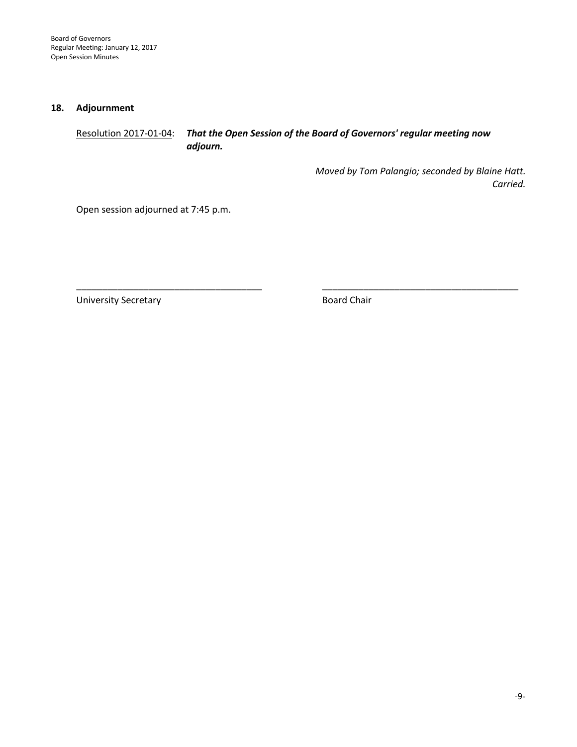Board of Governors Regular Meeting: January 12, 2017 Open Session Minutes

#### **18. Adjournment**

### Resolution 2017-01-04: *That the Open Session of the Board of Governors' regular meeting now adjourn.*

*Moved by Tom Palangio; seconded by Blaine Hatt. Carried.* 

Open session adjourned at 7:45 p.m.

University Secretary **Board Chair** Board Chair

\_\_\_\_\_\_\_\_\_\_\_\_\_\_\_\_\_\_\_\_\_\_\_\_\_\_\_\_\_\_\_\_\_\_\_\_ \_\_\_\_\_\_\_\_\_\_\_\_\_\_\_\_\_\_\_\_\_\_\_\_\_\_\_\_\_\_\_\_\_\_\_\_\_\_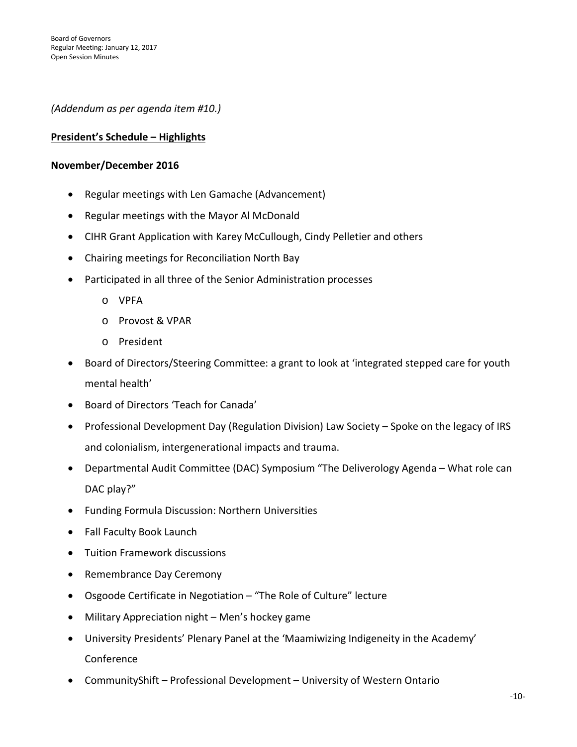*(Addendum as per agenda item #10.)*

### **President's Schedule – Highlights**

#### **November/December 2016**

- Regular meetings with Len Gamache (Advancement)
- Regular meetings with the Mayor Al McDonald
- CIHR Grant Application with Karey McCullough, Cindy Pelletier and others
- Chairing meetings for Reconciliation North Bay
- Participated in all three of the Senior Administration processes
	- o VPFA
	- o Provost & VPAR
	- o President
- Board of Directors/Steering Committee: a grant to look at 'integrated stepped care for youth mental health'
- Board of Directors 'Teach for Canada'
- Professional Development Day (Regulation Division) Law Society Spoke on the legacy of IRS and colonialism, intergenerational impacts and trauma.
- Departmental Audit Committee (DAC) Symposium "The Deliverology Agenda What role can DAC play?"
- Funding Formula Discussion: Northern Universities
- Fall Faculty Book Launch
- Tuition Framework discussions
- Remembrance Day Ceremony
- Osgoode Certificate in Negotiation "The Role of Culture" lecture
- Military Appreciation night Men's hockey game
- University Presidents' Plenary Panel at the 'Maamiwizing Indigeneity in the Academy' Conference
- CommunityShift Professional Development University of Western Ontario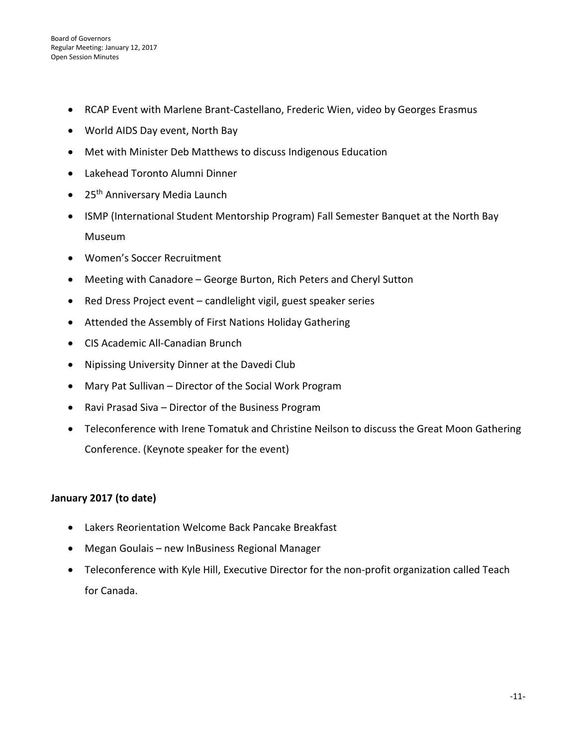- RCAP Event with Marlene Brant-Castellano, Frederic Wien, video by Georges Erasmus
- World AIDS Day event, North Bay
- Met with Minister Deb Matthews to discuss Indigenous Education
- Lakehead Toronto Alumni Dinner
- $\bullet$  25<sup>th</sup> Anniversary Media Launch
- ISMP (International Student Mentorship Program) Fall Semester Banquet at the North Bay Museum
- Women's Soccer Recruitment
- Meeting with Canadore George Burton, Rich Peters and Cheryl Sutton
- Red Dress Project event candlelight vigil, guest speaker series
- Attended the Assembly of First Nations Holiday Gathering
- CIS Academic All-Canadian Brunch
- Nipissing University Dinner at the Davedi Club
- Mary Pat Sullivan Director of the Social Work Program
- Ravi Prasad Siva Director of the Business Program
- Teleconference with Irene Tomatuk and Christine Neilson to discuss the Great Moon Gathering Conference. (Keynote speaker for the event)

### **January 2017 (to date)**

- Lakers Reorientation Welcome Back Pancake Breakfast
- Megan Goulais new InBusiness Regional Manager
- Teleconference with Kyle Hill, Executive Director for the non-profit organization called Teach for Canada.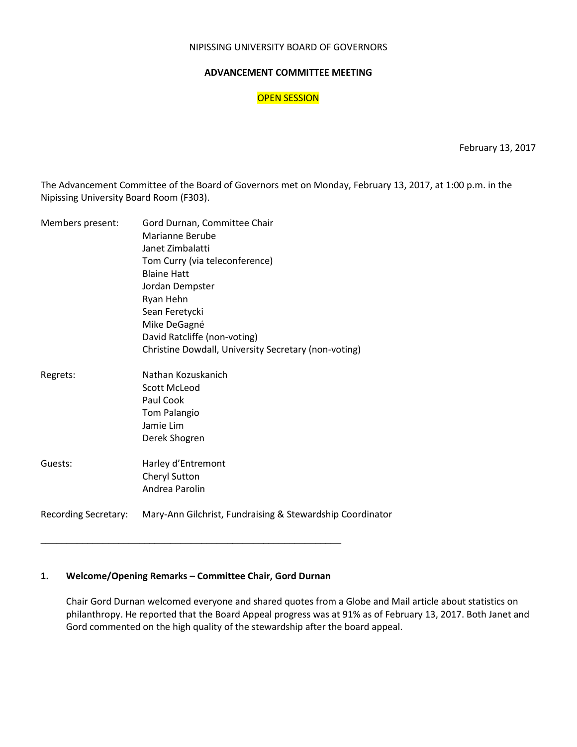#### NIPISSING UNIVERSITY BOARD OF GOVERNORS

#### **ADVANCEMENT COMMITTEE MEETING**

#### OPEN SESSION

February 13, 2017

The Advancement Committee of the Board of Governors met on Monday, February 13, 2017, at 1:00 p.m. in the Nipissing University Board Room (F303).

| Members present:            | Gord Durnan, Committee Chair                              |
|-----------------------------|-----------------------------------------------------------|
|                             | Marianne Berube                                           |
|                             | Janet Zimbalatti                                          |
|                             | Tom Curry (via teleconference)                            |
|                             | <b>Blaine Hatt</b>                                        |
|                             | Jordan Dempster                                           |
|                             | Ryan Hehn                                                 |
|                             | Sean Feretycki                                            |
|                             |                                                           |
|                             | Mike DeGagné                                              |
|                             | David Ratcliffe (non-voting)                              |
|                             | Christine Dowdall, University Secretary (non-voting)      |
| Regrets:                    | Nathan Kozuskanich                                        |
|                             | <b>Scott McLeod</b>                                       |
|                             | Paul Cook                                                 |
|                             | Tom Palangio                                              |
|                             | Jamie Lim                                                 |
|                             | Derek Shogren                                             |
|                             |                                                           |
| Guests:                     | Harley d'Entremont                                        |
|                             | Cheryl Sutton                                             |
|                             | Andrea Parolin                                            |
|                             |                                                           |
| <b>Recording Secretary:</b> | Mary-Ann Gilchrist, Fundraising & Stewardship Coordinator |

#### **1. Welcome/Opening Remarks – Committee Chair, Gord Durnan**

\_\_\_\_\_\_\_\_\_\_\_\_\_\_\_\_\_\_\_\_\_\_\_\_\_\_\_\_\_\_\_\_\_\_\_\_\_\_\_\_\_\_\_\_\_\_\_\_\_\_\_\_\_\_\_\_\_\_

Chair Gord Durnan welcomed everyone and shared quotes from a Globe and Mail article about statistics on philanthropy. He reported that the Board Appeal progress was at 91% as of February 13, 2017. Both Janet and Gord commented on the high quality of the stewardship after the board appeal.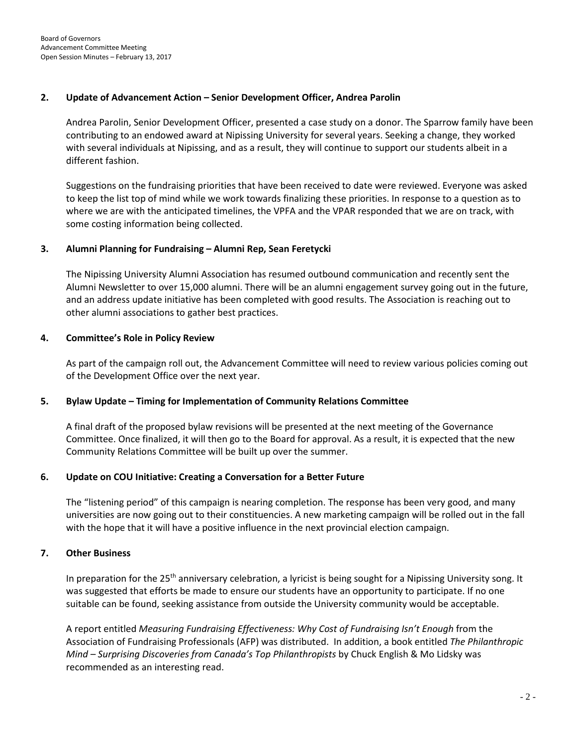#### **2. Update of Advancement Action – Senior Development Officer, Andrea Parolin**

Andrea Parolin, Senior Development Officer, presented a case study on a donor. The Sparrow family have been contributing to an endowed award at Nipissing University for several years. Seeking a change, they worked with several individuals at Nipissing, and as a result, they will continue to support our students albeit in a different fashion.

Suggestions on the fundraising priorities that have been received to date were reviewed. Everyone was asked to keep the list top of mind while we work towards finalizing these priorities. In response to a question as to where we are with the anticipated timelines, the VPFA and the VPAR responded that we are on track, with some costing information being collected.

#### **3. Alumni Planning for Fundraising – Alumni Rep, Sean Feretycki**

The Nipissing University Alumni Association has resumed outbound communication and recently sent the Alumni Newsletter to over 15,000 alumni. There will be an alumni engagement survey going out in the future, and an address update initiative has been completed with good results. The Association is reaching out to other alumni associations to gather best practices.

#### **4. Committee's Role in Policy Review**

As part of the campaign roll out, the Advancement Committee will need to review various policies coming out of the Development Office over the next year.

#### **5. Bylaw Update – Timing for Implementation of Community Relations Committee**

A final draft of the proposed bylaw revisions will be presented at the next meeting of the Governance Committee. Once finalized, it will then go to the Board for approval. As a result, it is expected that the new Community Relations Committee will be built up over the summer.

#### **6. Update on COU Initiative: Creating a Conversation for a Better Future**

The "listening period" of this campaign is nearing completion. The response has been very good, and many universities are now going out to their constituencies. A new marketing campaign will be rolled out in the fall with the hope that it will have a positive influence in the next provincial election campaign.

#### **7. Other Business**

In preparation for the 25<sup>th</sup> anniversary celebration, a lyricist is being sought for a Nipissing University song. It was suggested that efforts be made to ensure our students have an opportunity to participate. If no one suitable can be found, seeking assistance from outside the University community would be acceptable.

A report entitled *Measuring Fundraising Effectiveness: Why Cost of Fundraising Isn't Enough* from the Association of Fundraising Professionals (AFP) was distributed. In addition, a book entitled *The Philanthropic Mind – Surprising Discoveries from Canada's Top Philanthropists* by Chuck English & Mo Lidsky was recommended as an interesting read.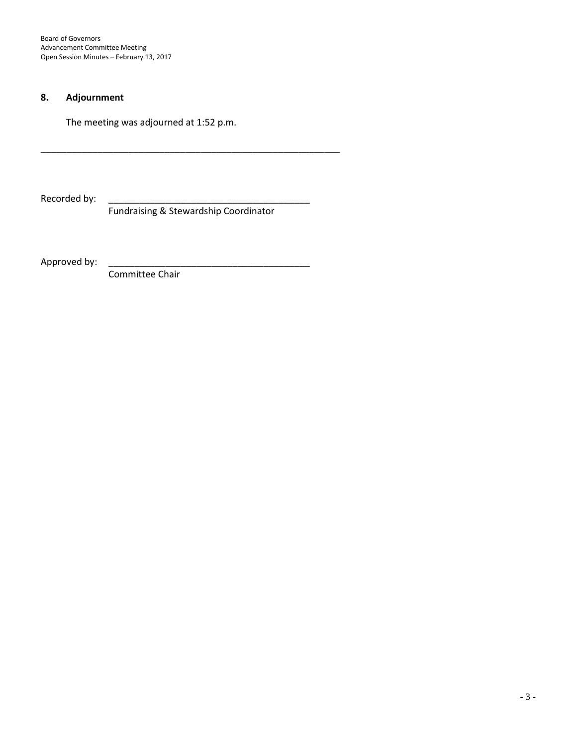Board of Governors Advancement Committee Meeting Open Session Minutes – February 13, 2017

### **8. Adjournment**

The meeting was adjourned at 1:52 p.m.

Recorded by:

Fundraising & Stewardship Coordinator

\_\_\_\_\_\_\_\_\_\_\_\_\_\_\_\_\_\_\_\_\_\_\_\_\_\_\_\_\_\_\_\_\_\_\_\_\_\_\_\_\_\_\_\_\_\_\_\_\_\_\_\_\_\_\_\_\_\_

Approved by: \_\_\_\_\_\_\_\_\_\_\_\_\_\_\_\_\_\_\_\_\_\_\_\_\_\_\_\_\_\_\_\_\_\_\_\_\_\_\_

Committee Chair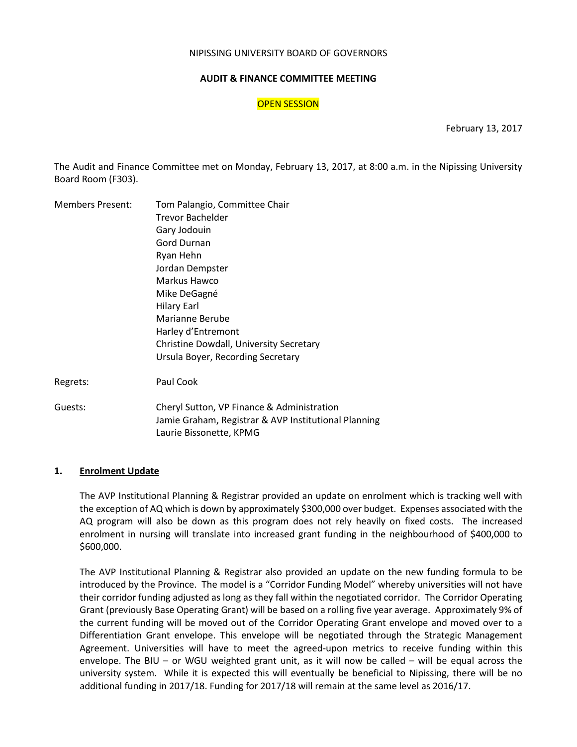#### NIPISSING UNIVERSITY BOARD OF GOVERNORS

#### **AUDIT & FINANCE COMMITTEE MEETING**

#### OPEN SESSION

February 13, 2017

The Audit and Finance Committee met on Monday, February 13, 2017, at 8:00 a.m. in the Nipissing University Board Room (F303).

| <b>Members Present:</b> | Tom Palangio, Committee Chair                                                   |
|-------------------------|---------------------------------------------------------------------------------|
|                         | <b>Trevor Bachelder</b>                                                         |
|                         | Gary Jodouin                                                                    |
|                         | Gord Durnan                                                                     |
|                         | Ryan Hehn                                                                       |
|                         | Jordan Dempster                                                                 |
|                         | Markus Hawco                                                                    |
|                         | Mike DeGagné                                                                    |
|                         | <b>Hilary Earl</b>                                                              |
|                         | Marianne Berube                                                                 |
|                         | Harley d'Entremont                                                              |
|                         | Christine Dowdall, University Secretary                                         |
|                         | Ursula Boyer, Recording Secretary                                               |
| Regrets:                | Paul Cook                                                                       |
| Guests:                 | Cheryl Sutton, VP Finance & Administration                                      |
|                         | Jamie Graham, Registrar & AVP Institutional Planning<br>Laurie Bissonette, KPMG |

#### **1. Enrolment Update**

The AVP Institutional Planning & Registrar provided an update on enrolment which is tracking well with the exception of AQ which is down by approximately \$300,000 over budget. Expenses associated with the AQ program will also be down as this program does not rely heavily on fixed costs. The increased enrolment in nursing will translate into increased grant funding in the neighbourhood of \$400,000 to \$600,000.

The AVP Institutional Planning & Registrar also provided an update on the new funding formula to be introduced by the Province. The model is a "Corridor Funding Model" whereby universities will not have their corridor funding adjusted as long as they fall within the negotiated corridor. The Corridor Operating Grant (previously Base Operating Grant) will be based on a rolling five year average. Approximately 9% of the current funding will be moved out of the Corridor Operating Grant envelope and moved over to a Differentiation Grant envelope. This envelope will be negotiated through the Strategic Management Agreement. Universities will have to meet the agreed-upon metrics to receive funding within this envelope. The BIU – or WGU weighted grant unit, as it will now be called – will be equal across the university system. While it is expected this will eventually be beneficial to Nipissing, there will be no additional funding in 2017/18. Funding for 2017/18 will remain at the same level as 2016/17.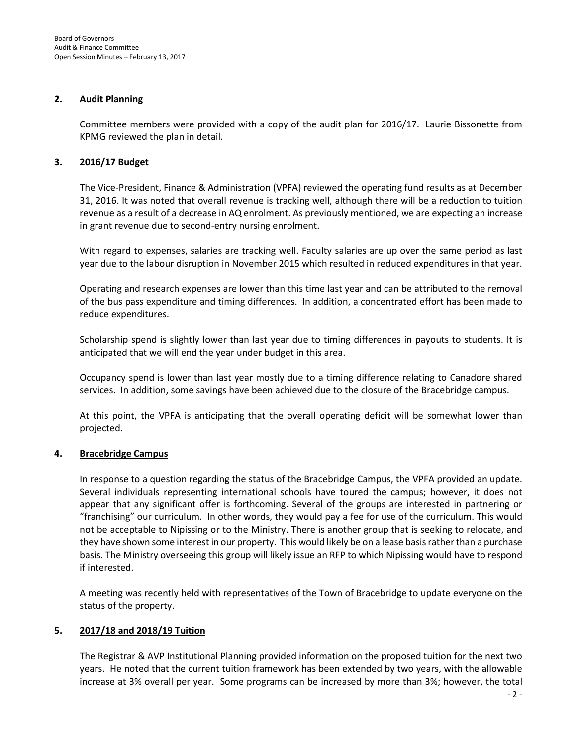#### **2. Audit Planning**

Committee members were provided with a copy of the audit plan for 2016/17. Laurie Bissonette from KPMG reviewed the plan in detail.

#### **3. 2016/17 Budget**

The Vice-President, Finance & Administration (VPFA) reviewed the operating fund results as at December 31, 2016. It was noted that overall revenue is tracking well, although there will be a reduction to tuition revenue as a result of a decrease in AQ enrolment. As previously mentioned, we are expecting an increase in grant revenue due to second-entry nursing enrolment.

With regard to expenses, salaries are tracking well. Faculty salaries are up over the same period as last year due to the labour disruption in November 2015 which resulted in reduced expenditures in that year.

Operating and research expenses are lower than this time last year and can be attributed to the removal of the bus pass expenditure and timing differences. In addition, a concentrated effort has been made to reduce expenditures.

Scholarship spend is slightly lower than last year due to timing differences in payouts to students. It is anticipated that we will end the year under budget in this area.

Occupancy spend is lower than last year mostly due to a timing difference relating to Canadore shared services. In addition, some savings have been achieved due to the closure of the Bracebridge campus.

At this point, the VPFA is anticipating that the overall operating deficit will be somewhat lower than projected.

#### **4. Bracebridge Campus**

In response to a question regarding the status of the Bracebridge Campus, the VPFA provided an update. Several individuals representing international schools have toured the campus; however, it does not appear that any significant offer is forthcoming. Several of the groups are interested in partnering or "franchising" our curriculum. In other words, they would pay a fee for use of the curriculum. This would not be acceptable to Nipissing or to the Ministry. There is another group that is seeking to relocate, and they have shown some interest in our property. This would likely be on a lease basis rather than a purchase basis. The Ministry overseeing this group will likely issue an RFP to which Nipissing would have to respond if interested.

A meeting was recently held with representatives of the Town of Bracebridge to update everyone on the status of the property.

#### **5. 2017/18 and 2018/19 Tuition**

The Registrar & AVP Institutional Planning provided information on the proposed tuition for the next two years. He noted that the current tuition framework has been extended by two years, with the allowable increase at 3% overall per year. Some programs can be increased by more than 3%; however, the total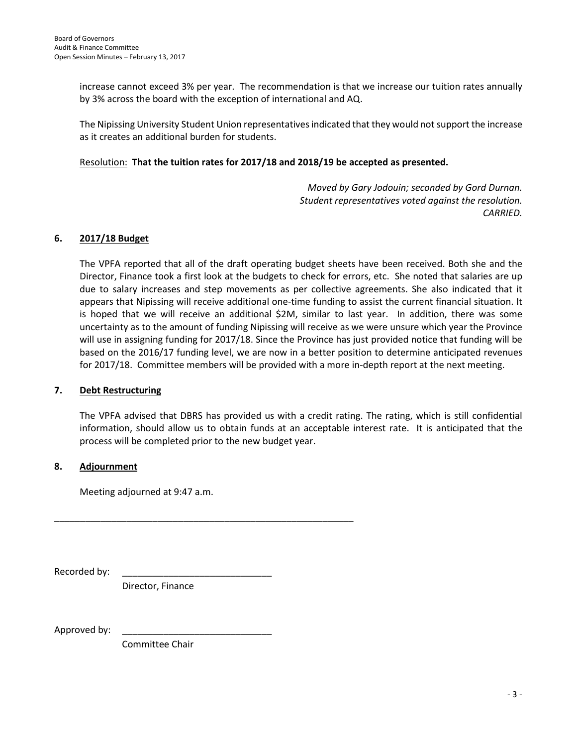increase cannot exceed 3% per year. The recommendation is that we increase our tuition rates annually by 3% across the board with the exception of international and AQ.

The Nipissing University Student Union representatives indicated that they would not support the increase as it creates an additional burden for students.

#### Resolution: **That the tuition rates for 2017/18 and 2018/19 be accepted as presented.**

*Moved by Gary Jodouin; seconded by Gord Durnan. Student representatives voted against the resolution. CARRIED.*

#### **6. 2017/18 Budget**

The VPFA reported that all of the draft operating budget sheets have been received. Both she and the Director, Finance took a first look at the budgets to check for errors, etc. She noted that salaries are up due to salary increases and step movements as per collective agreements. She also indicated that it appears that Nipissing will receive additional one-time funding to assist the current financial situation. It is hoped that we will receive an additional \$2M, similar to last year. In addition, there was some uncertainty as to the amount of funding Nipissing will receive as we were unsure which year the Province will use in assigning funding for 2017/18. Since the Province has just provided notice that funding will be based on the 2016/17 funding level, we are now in a better position to determine anticipated revenues for 2017/18. Committee members will be provided with a more in-depth report at the next meeting.

#### **7. Debt Restructuring**

The VPFA advised that DBRS has provided us with a credit rating. The rating, which is still confidential information, should allow us to obtain funds at an acceptable interest rate. It is anticipated that the process will be completed prior to the new budget year.

#### **8. Adjournment**

Meeting adjourned at 9:47 a.m.

Recorded by:

Director, Finance

\_\_\_\_\_\_\_\_\_\_\_\_\_\_\_\_\_\_\_\_\_\_\_\_\_\_\_\_\_\_\_\_\_\_\_\_\_\_\_\_\_\_\_\_\_\_\_\_\_\_\_\_\_\_\_\_\_\_

Approved by:

Committee Chair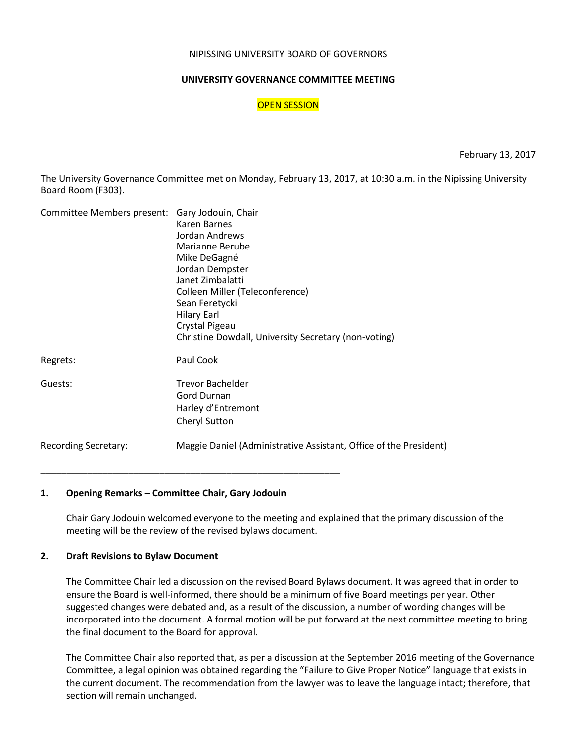#### NIPISSING UNIVERSITY BOARD OF GOVERNORS

#### **UNIVERSITY GOVERNANCE COMMITTEE MEETING**

#### OPEN SESSION

February 13, 2017

The University Governance Committee met on Monday, February 13, 2017, at 10:30 a.m. in the Nipissing University Board Room (F303).

| Committee Members present: Gary Jodouin, Chair | Karen Barnes<br>Jordan Andrews                                    |
|------------------------------------------------|-------------------------------------------------------------------|
|                                                | Marianne Berube                                                   |
|                                                | Mike DeGagné<br>Jordan Dempster                                   |
|                                                | Janet Zimbalatti                                                  |
|                                                | Colleen Miller (Teleconference)                                   |
|                                                | Sean Feretycki                                                    |
|                                                | <b>Hilary Earl</b>                                                |
|                                                | Crystal Pigeau                                                    |
|                                                | Christine Dowdall, University Secretary (non-voting)              |
| Regrets:                                       | Paul Cook                                                         |
| Guests:                                        | <b>Trevor Bachelder</b>                                           |
|                                                | <b>Gord Durnan</b>                                                |
|                                                | Harley d'Entremont                                                |
|                                                | <b>Cheryl Sutton</b>                                              |
| <b>Recording Secretary:</b>                    | Maggie Daniel (Administrative Assistant, Office of the President) |
|                                                |                                                                   |

#### **1. Opening Remarks – Committee Chair, Gary Jodouin**

Chair Gary Jodouin welcomed everyone to the meeting and explained that the primary discussion of the meeting will be the review of the revised bylaws document.

#### **2. Draft Revisions to Bylaw Document**

The Committee Chair led a discussion on the revised Board Bylaws document. It was agreed that in order to ensure the Board is well-informed, there should be a minimum of five Board meetings per year. Other suggested changes were debated and, as a result of the discussion, a number of wording changes will be incorporated into the document. A formal motion will be put forward at the next committee meeting to bring the final document to the Board for approval.

The Committee Chair also reported that, as per a discussion at the September 2016 meeting of the Governance Committee, a legal opinion was obtained regarding the "Failure to Give Proper Notice" language that exists in the current document. The recommendation from the lawyer was to leave the language intact; therefore, that section will remain unchanged.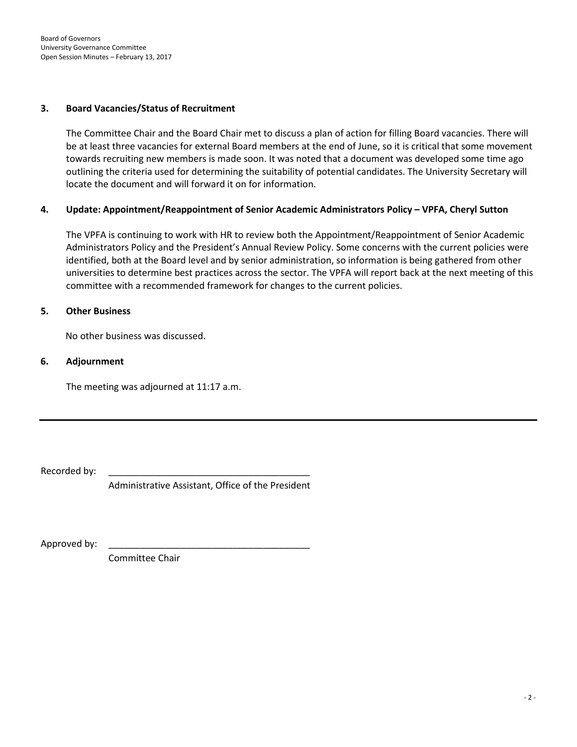#### **3. Board Vacancies/Status of Recruitment**

The Committee Chair and the Board Chair met to discuss a plan of action for filling Board vacancies. There will be at least three vacancies for external Board members at the end of June, so it is critical that some movement towards recruiting new members is made soon. It was noted that a document was developed some time ago outlining the criteria used for determining the suitability of potential candidates. The University Secretary will locate the document and will forward it on for information.

#### **4. Update: Appointment/Reappointment of Senior Academic Administrators Policy – VPFA, Cheryl Sutton**

The VPFA is continuing to work with HR to review both the Appointment/Reappointment of Senior Academic Administrators Policy and the President's Annual Review Policy. Some concerns with the current policies were identified, both at the Board level and by senior administration, so information is being gathered from other universities to determine best practices across the sector. The VPFA will report back at the next meeting of this committee with a recommended framework for changes to the current policies.

#### **5. Other Business**

No other business was discussed.

#### **6. Adjournment**

The meeting was adjourned at 11:17 a.m.

Recorded by:

Administrative Assistant, Office of the President

Approved by:

Committee Chair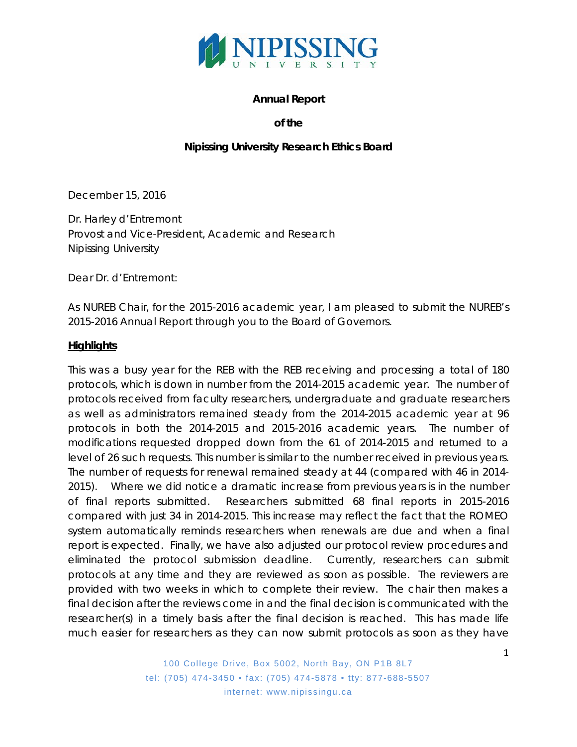

### **Annual Report**

### **of the**

### **Nipissing University Research Ethics Board**

December 15, 2016

Dr. Harley d'Entremont Provost and Vice-President, Academic and Research Nipissing University

Dear Dr. d'Entremont:

As NUREB Chair, for the 2015-2016 academic year, I am pleased to submit the NUREB's 2015-2016 Annual Report through you to the Board of Governors.

#### **Highlights**

This was a busy year for the REB with the REB receiving and processing a total of 180 protocols, which is down in number from the 2014-2015 academic year. The number of protocols received from faculty researchers, undergraduate and graduate researchers as well as administrators remained steady from the 2014-2015 academic year at 96 protocols in both the 2014-2015 and 2015-2016 academic years. The number of modifications requested dropped down from the 61 of 2014-2015 and returned to a level of 26 such requests. This number is similar to the number received in previous years. The number of requests for renewal remained steady at 44 (compared with 46 in 2014- 2015). Where we did notice a dramatic increase from previous years is in the number of final reports submitted. Researchers submitted 68 final reports in 2015-2016 compared with just 34 in 2014-2015. This increase may reflect the fact that the ROMEO system automatically reminds researchers when renewals are due and when a final report is expected. Finally, we have also adjusted our protocol review procedures and eliminated the protocol submission deadline. Currently, researchers can submit protocols at any time and they are reviewed as soon as possible. The reviewers are provided with two weeks in which to complete their review. The chair then makes a final decision after the reviews come in and the final decision is communicated with the researcher(s) in a timely basis after the final decision is reached. This has made life much easier for researchers as they can now submit protocols as soon as they have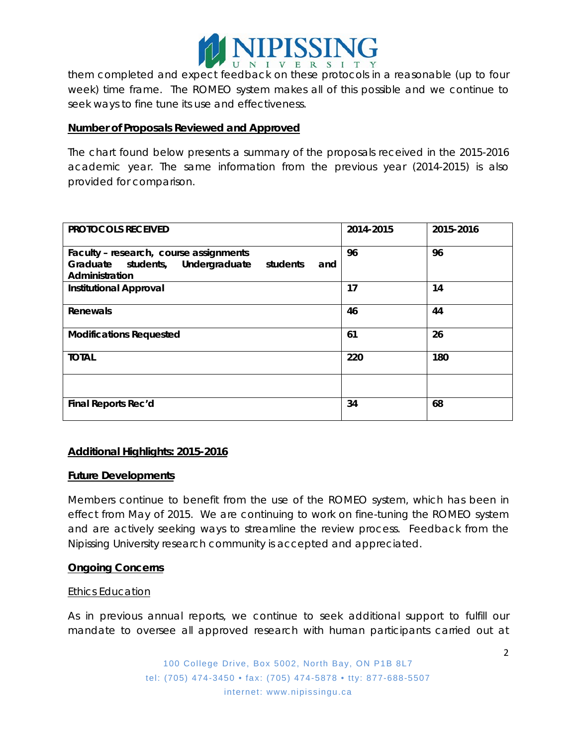

them completed and expect feedback on these protocols in a reasonable (up to four week) time frame. The ROMEO system makes all of this possible and we continue to seek ways to fine tune its use and effectiveness.

#### **Number of Proposals Reviewed and Approved**

The chart found below presents a summary of the proposals received in the 2015-2016 academic year. The same information from the previous year (2014-2015) is also provided for comparison.

| <b>PROTOCOLS RECEIVED</b>                                                                                       | 2014-2015 | 2015-2016 |
|-----------------------------------------------------------------------------------------------------------------|-----------|-----------|
| Faculty - research, course assignments<br>Graduate students, Undergraduate<br>students<br>and<br>Administration | 96        | 96        |
| <b>Institutional Approval</b>                                                                                   | 17        | 14        |
| Renewals                                                                                                        | 46        | 44        |
| <b>Modifications Requested</b>                                                                                  | 61        | 26        |
| <b>TOTAL</b>                                                                                                    | 220       | 180       |
|                                                                                                                 |           |           |
| Final Reports Rec'd                                                                                             | 34        | 68        |

### **Additional Highlights: 2015-2016**

#### **Future Developments**

Members continue to benefit from the use of the ROMEO system, which has been in effect from May of 2015. We are continuing to work on fine-tuning the ROMEO system and are actively seeking ways to streamline the review process. Feedback from the Nipissing University research community is accepted and appreciated.

### **Ongoing Concerns**

#### Ethics Education

As in previous annual reports, we continue to seek additional support to fulfill our mandate to oversee all approved research with human participants carried out at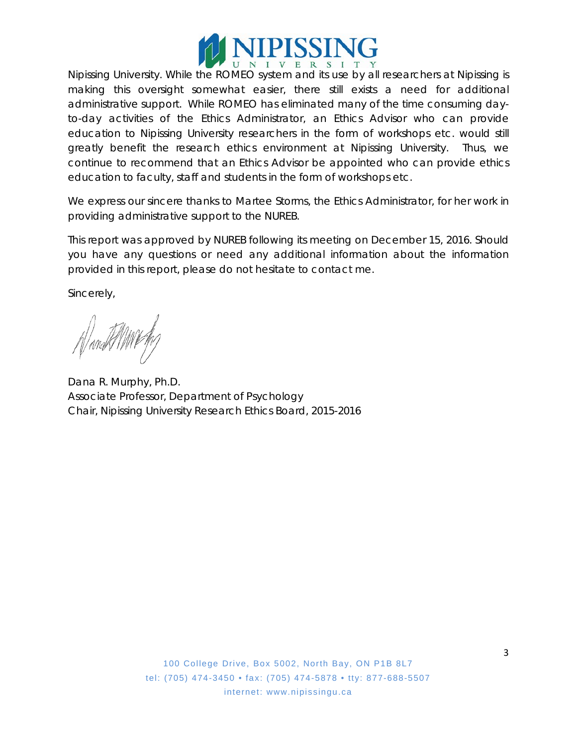

Nipissing University. While the ROMEO system and its use by all researchers at Nipissing is making this oversight somewhat easier, there still exists a need for additional administrative support. While ROMEO has eliminated many of the time consuming dayto-day activities of the Ethics Administrator, an Ethics Advisor who can provide education to Nipissing University researchers in the form of workshops etc. would still greatly benefit the research ethics environment at Nipissing University. Thus, we continue to recommend that an Ethics Advisor be appointed who can provide ethics education to faculty, staff and students in the form of workshops etc.

We express our sincere thanks to Martee Storms, the Ethics Administrator, for her work in providing administrative support to the NUREB.

This report was approved by NUREB following its meeting on December 15, 2016. Should you have any questions or need any additional information about the information provided in this report, please do not hesitate to contact me.

Sincerely,

Wanakt MWF

Dana R. Murphy, Ph.D. Associate Professor, Department of Psychology Chair, Nipissing University Research Ethics Board, 2015-2016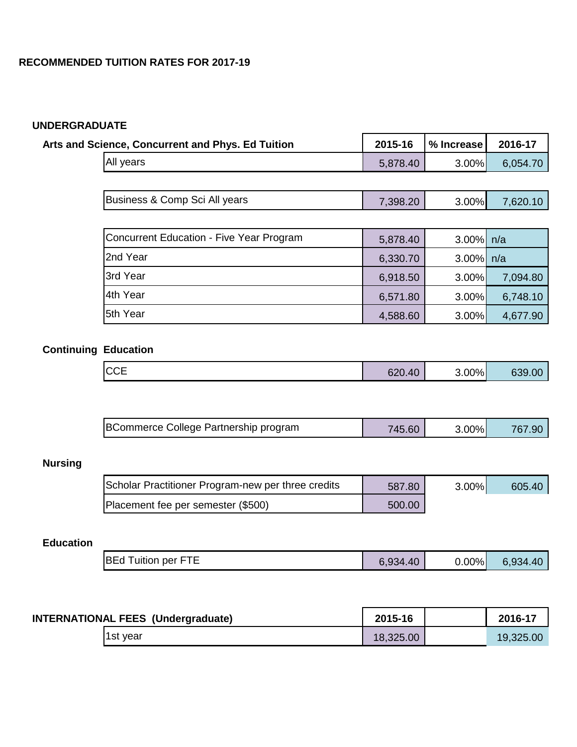# **UNDERGRADUATE**

| <b>Arts and Science, Concurrent and Phys. Ed Tuition</b> | 2015-16  | % Increase     | 2016-17  |
|----------------------------------------------------------|----------|----------------|----------|
| <b>All years</b>                                         | 5,878.40 | $3.00\%$       | 6,054.70 |
|                                                          |          |                |          |
| Business & Comp Sci All years                            | 7,398.20 | $3.00\%$       | 7,620.10 |
|                                                          |          |                |          |
| <b>Concurrent Education - Five Year Program</b>          | 5,878.40 | $3.00\%$ $n/a$ |          |
| 2nd Year                                                 | 6,330.70 | $3.00\%$ $n/a$ |          |
| 3rd Year                                                 | 6,918.50 | $3.00\%$       | 7,094.80 |
| 4th Year                                                 | 6,571.80 | $3.00\%$       | 6,748.10 |
| 5th Year                                                 | 4,588.60 | $3.00\%$       | 4,677.90 |

# **Continuing Education**

| $\sim$ | <b>CCE</b> | 620.40 | $3.00\%$ | 639.00 |
|--------|------------|--------|----------|--------|
|--------|------------|--------|----------|--------|

| BCommerce College Partnership program | 45.60<br>745. | $.00\%$ |  |
|---------------------------------------|---------------|---------|--|
|                                       |               |         |  |

# **Nursing**

| Scholar Practitioner Program-new per three credits | 587.80 | $3.00\%$ | 605.40 |
|----------------------------------------------------|--------|----------|--------|
| Placement fee per semester (\$500)                 | 500.00 |          |        |

# **Education**

| <b>BEd Tuition per FTE</b> | 6,934.40 | $0.00\%$ | 6,934.40 |
|----------------------------|----------|----------|----------|
|----------------------------|----------|----------|----------|

| <b>INTERNATIONAL FEES (Undergraduate)</b> | 2015-16   | 2016-17   |
|-------------------------------------------|-----------|-----------|
| 1st year                                  | 18,325.00 | 19,325.00 |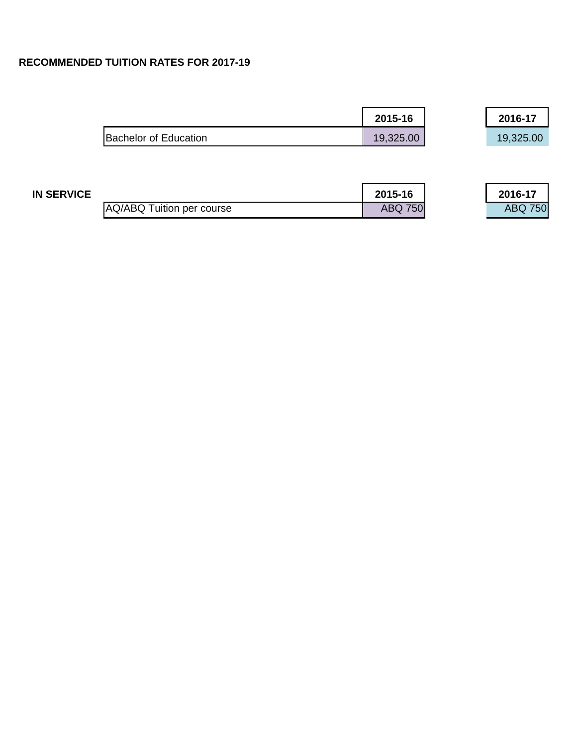|                       | 2015-16   | 2016-17   |
|-----------------------|-----------|-----------|
| Bachelor of Education | 19,325.00 | 19,325.00 |

| <b>IN SERVICE</b> |                           | 2015-16        | 2016-17        |
|-------------------|---------------------------|----------------|----------------|
|                   | AQ/ABQ Tuition per course | <b>ABQ 750</b> | <b>ABQ 750</b> |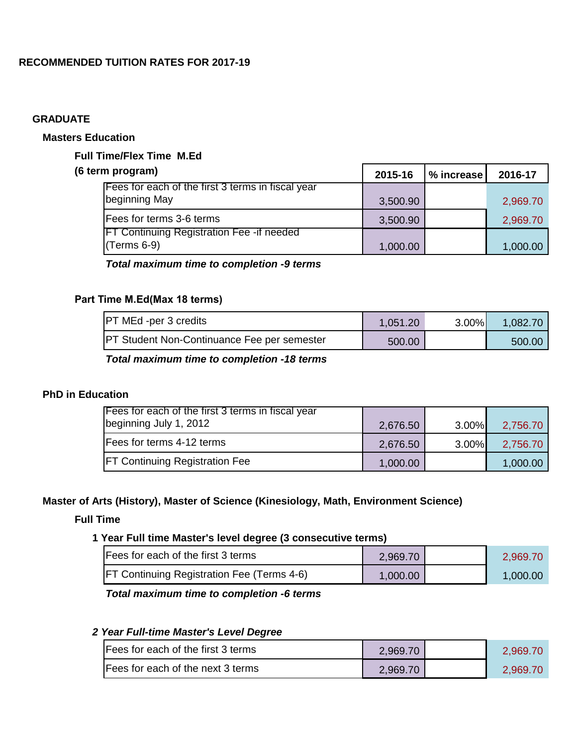### **GRADUATE**

# **Masters Education**

## **Full Time/Flex Time M.Ed**

| (6 term program)                                  | 2015-16  | $%$ increase $ $ | 2016-17  |
|---------------------------------------------------|----------|------------------|----------|
| Fees for each of the first 3 terms in fiscal year |          |                  |          |
| beginning May                                     | 3,500.90 |                  | 2,969.70 |
| <b>Fees for terms 3-6 terms</b>                   | 3,500.90 |                  | 2,969.70 |
| <b>FT Continuing Registration Fee - if needed</b> |          |                  |          |
| $(CF)$ (Terms 6-9)                                | 1,000.00 |                  | 1,000.00 |

## *Total maximum time to completion -9 terms*

## **Part Time M.Ed (Max 18 terms)**

| <b>PT MEd -per 3 credits</b>                        | .051.20 | $3.00\%$ | 1.082.70 |
|-----------------------------------------------------|---------|----------|----------|
| <b>IPT Student Non-Continuance Fee per semester</b> | 500.00  |          | 500.00   |

*Total maximum time to completion -18 terms*

## **PhD in Education**

| Fees for each of the first 3 terms in fiscal year<br>beginning July 1, 2012 | 2,676.50 | $3.00\%$ | 2,756.70 |
|-----------------------------------------------------------------------------|----------|----------|----------|
| <b>Fees for terms 4-12 terms</b>                                            | 2,676.50 | $3.00\%$ | 2,756.70 |
| <b>FT Continuing Registration Fee</b>                                       | 1,000.00 |          | 1,000.00 |

## **Master of Arts (History), Master of Science (Kinesiology, Math, Environment Science)**

### **Full Time**

### **1 Year Full time Master's level degree (3 consecutive terms)**

| <b>IFees for each of the first 3 terms</b>         | 2.969.70 | 2.969.70 |
|----------------------------------------------------|----------|----------|
| <b>IFT Continuing Registration Fee (Terms 4-6)</b> | 1,000.00 | 1,000.00 |

# *Total maximum time to completion -6 terms*

# *2 Year Full-time Master's Level Degree*

| Fees for each of the first 3 terms        | 2,969.70 | 2,969.70 |
|-------------------------------------------|----------|----------|
| <b>IFees for each of the next 3 terms</b> | 2,969.70 | 2,969.70 |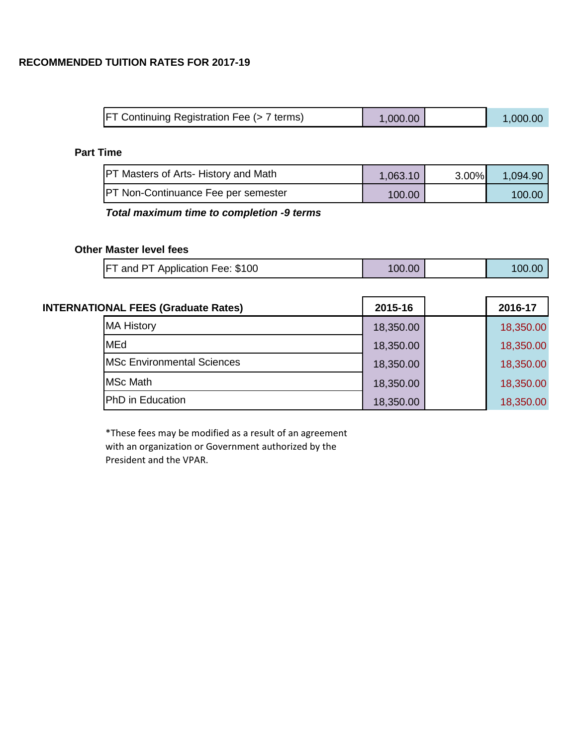| FT Continuing Registration Fee (> 7 terms) | 1,000.00 | 1,000.00 |
|--------------------------------------------|----------|----------|
|                                            |          |          |

# **Part Time**

| <b>PT Masters of Arts- History and Math</b> | 1,063.10 | $3.00\%$ | 1.094.90 |
|---------------------------------------------|----------|----------|----------|
| <b>IPT Non-Continuance Fee per semester</b> | 100.00   |          | 100.00   |

# *Total maximum time to completion -9 terms*

## **Other Master level fees**

| <b>FT and PT Application Fee: \$100</b> | 100.00 |  | 100.00 |
|-----------------------------------------|--------|--|--------|
|-----------------------------------------|--------|--|--------|

| <b>INTERNATIONAL FEES (Graduate Rates)</b> | 2015-16   | 2016-17   |
|--------------------------------------------|-----------|-----------|
| <b>MA History</b>                          | 18,350.00 | 18,350.00 |
| <b>MEd</b>                                 | 18,350.00 | 18,350.00 |
| <b>IMSc Environmental Sciences</b>         | 18,350.00 | 18,350.00 |
| <b>MSc Math</b>                            | 18,350.00 | 18,350.00 |
| <b>PhD</b> in Education                    | 18,350.00 | 18,350.00 |

\*These fees may be modified as a result of an agreement with an organization or Government authorized by the President and the VPAR.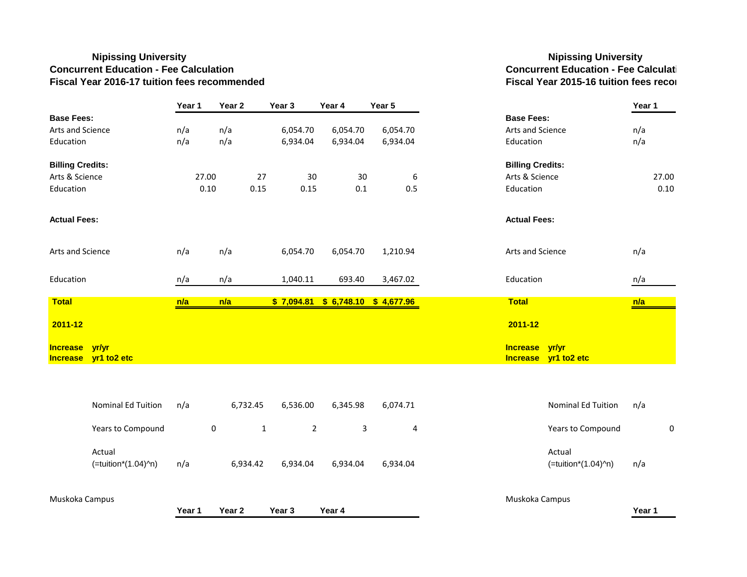### **Nipissing University Nipissing University Concurrent Education - Fee Calculation Concurrent Education - Fee Calculati Fiscal Year 2016-17 tuition fees recommended Fiscal Year 2015-16 tuition fees recom**

|                         |                               | Year 1 | Year <sub>2</sub> |              | Year <sub>3</sub> | Year 4                        | Year 5     |                                        | Year 1     |
|-------------------------|-------------------------------|--------|-------------------|--------------|-------------------|-------------------------------|------------|----------------------------------------|------------|
| <b>Base Fees:</b>       |                               |        |                   |              |                   |                               |            | <b>Base Fees:</b>                      |            |
| Arts and Science        |                               | n/a    | n/a               |              | 6,054.70          | 6,054.70                      | 6,054.70   | Arts and Science                       | n/a<br>n/a |
| Education               |                               | n/a    | n/a               |              | 6,934.04          | 6,934.04                      | 6,934.04   | Education                              |            |
| <b>Billing Credits:</b> |                               |        |                   |              |                   |                               |            | <b>Billing Credits:</b>                |            |
| Arts & Science          |                               |        | 27.00             | 27           | 30                | 30                            | 6          | Arts & Science                         |            |
| Education               |                               |        | 0.10              | 0.15         | 0.15              | 0.1                           | 0.5        | Education                              |            |
| <b>Actual Fees:</b>     |                               |        |                   |              |                   |                               |            | <b>Actual Fees:</b>                    |            |
| Arts and Science        |                               | n/a    | n/a               |              | 6,054.70          | 6,054.70                      | 1,210.94   | Arts and Science                       |            |
| Education               |                               | n/a    | n/a               |              | 1,040.11          | 693.40                        | 3,467.02   | Education                              |            |
| <b>Total</b>            |                               | n/a    | n/a               |              | \$7,094.81        | \$6,748.10                    | \$4,677.96 | <b>Total</b>                           |            |
| 2011-12                 |                               |        |                   |              |                   |                               |            | 2011-12                                |            |
| Increase yr/yr          | Increase yr1 to2 etc          |        |                   |              |                   |                               |            | Increase yr/yr<br>Increase yr1 to2 etc |            |
|                         |                               |        |                   |              |                   |                               |            |                                        | n/a        |
|                         | <b>Nominal Ed Tuition</b>     | n/a    |                   | 6,732.45     | 6,536.00          | 6,345.98                      | 6,074.71   | Nominal Ed Tuition                     |            |
|                         | Years to Compound             |        | $\pmb{0}$         | $\mathbf{1}$ |                   | $\mathsf 3$<br>$\overline{2}$ | 4          | Years to Compound                      |            |
|                         | Actual<br>(=tuition*(1.04)^n) | n/a    |                   | 6,934.42     | 6,934.04          | 6,934.04                      | 6,934.04   | Actual<br>(=tuition*(1.04)^n)          | n/a        |
| Muskoka Campus          |                               | Year 1 | Year <sub>2</sub> |              | Year 3            | Year 4                        |            | Muskoka Campus                         | Year 1     |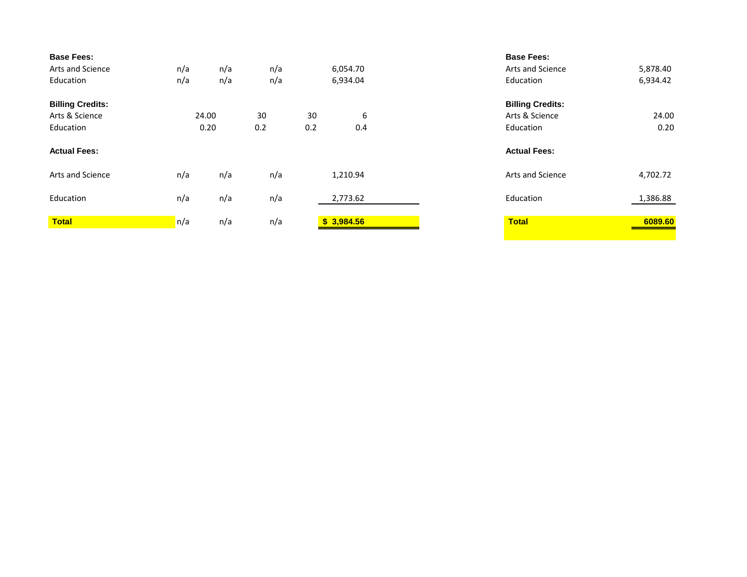| <b>Base Fees:</b><br>Arts and Science<br>Education     | n/a<br>n/a    | n/a<br>n/a | n/a<br>n/a |           | 6,054.70<br>6,934.04 | <b>Base Fees:</b><br>Arts and Science<br>Education     | 5,878.40<br>6,934.42 |
|--------------------------------------------------------|---------------|------------|------------|-----------|----------------------|--------------------------------------------------------|----------------------|
| <b>Billing Credits:</b><br>Arts & Science<br>Education | 24.00<br>0.20 |            | 30<br>0.2  | 30<br>0.2 | 6<br>0.4             | <b>Billing Credits:</b><br>Arts & Science<br>Education | 24.00<br>0.20        |
|                                                        |               |            |            |           |                      |                                                        |                      |
| <b>Actual Fees:</b>                                    |               |            |            |           |                      | <b>Actual Fees:</b>                                    |                      |
| <b>Arts and Science</b>                                | n/a           | n/a        | n/a        |           | 1,210.94             | Arts and Science                                       | 4,702.72             |
| Education                                              | n/a           | n/a        | n/a        |           | 2,773.62             | Education                                              | 1,386.88             |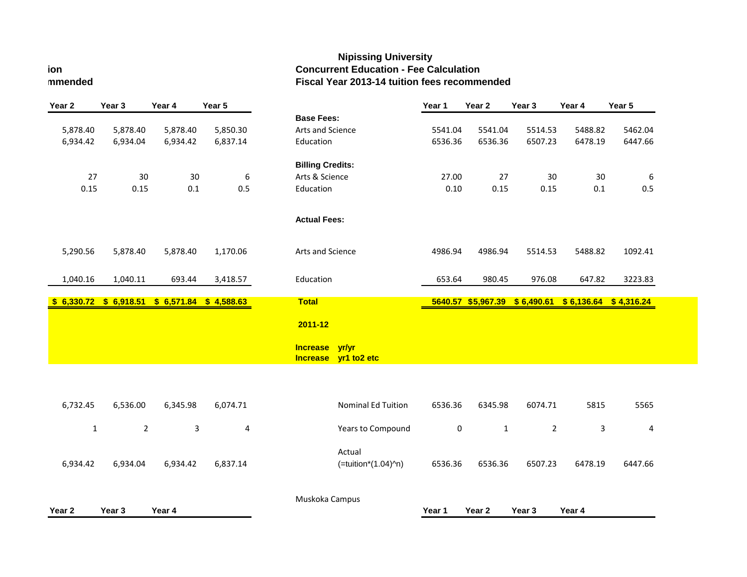### **Nipissing University ion Concurrent Education - Fee Calculation mmended Fiscal Year 2013-14 tuition fees recommended**

| Year <sub>2</sub> | Year <sub>3</sub>       | Year 4         | Year 5                  |                                    |                      | Year 1      | Year <sub>2</sub>  | Year <sub>3</sub> | Year 4                              | Year 5  |
|-------------------|-------------------------|----------------|-------------------------|------------------------------------|----------------------|-------------|--------------------|-------------------|-------------------------------------|---------|
|                   |                         |                |                         | <b>Base Fees:</b>                  |                      |             |                    |                   |                                     |         |
| 5,878.40          | 5,878.40                | 5,878.40       | 5,850.30                | Arts and Science                   |                      | 5541.04     | 5541.04            | 5514.53           | 5488.82                             | 5462.04 |
| 6,934.42          | 6,934.04                | 6,934.42       | 6,837.14                | Education                          |                      | 6536.36     | 6536.36            | 6507.23           | 6478.19                             | 6447.66 |
|                   |                         |                |                         | <b>Billing Credits:</b>            |                      |             |                    |                   |                                     |         |
| 27                | 30                      | 30             | $\boldsymbol{6}$        | Arts & Science                     |                      | 27.00       | 27                 | 30                | 30                                  | 6       |
| 0.15              | 0.15                    | 0.1            | 0.5                     | Education                          |                      | 0.10        | 0.15               | 0.15              | 0.1                                 | 0.5     |
|                   |                         |                |                         | <b>Actual Fees:</b>                |                      |             |                    |                   |                                     |         |
| 5,290.56          | 5,878.40                | 5,878.40       | 1,170.06                | Arts and Science                   |                      | 4986.94     | 4986.94            | 5514.53           | 5488.82                             | 1092.41 |
| 1,040.16          | 1,040.11                | 693.44         | 3,418.57                | Education                          |                      | 653.64      | 980.45             | 976.08            | 647.82                              | 3223.83 |
|                   | $$6,330.72$ $$6,918.51$ |                | $$6,571.84$ $$4,588.63$ | <b>Total</b>                       |                      |             | 5640.57 \$5,967.39 |                   | $$6,490.61$ $$6,136.64$ $$4,316.24$ |         |
|                   |                         |                |                         | 2011-12                            |                      |             |                    |                   |                                     |         |
|                   |                         |                |                         | <b>Increase</b><br><b>Increase</b> | yr/yr<br>yr1 to2 etc |             |                    |                   |                                     |         |
|                   |                         |                |                         |                                    |                      |             |                    |                   |                                     |         |
| 6,732.45          | 6,536.00                | 6,345.98       | 6,074.71                |                                    | Nominal Ed Tuition   | 6536.36     | 6345.98            | 6074.71           | 5815                                | 5565    |
| $\mathbf 1$       | $\overline{2}$          | $\overline{3}$ | 4                       |                                    | Years to Compound    | $\mathbf 0$ | $\mathbf{1}$       | $\overline{2}$    | 3                                   | 4       |
|                   |                         |                |                         |                                    | Actual               |             |                    |                   |                                     |         |
| 6,934.42          | 6,934.04                | 6,934.42       | 6,837.14                |                                    | (=tuition*(1.04)^n)  | 6536.36     | 6536.36            | 6507.23           | 6478.19                             | 6447.66 |
|                   |                         |                |                         | Muskoka Campus                     |                      |             |                    |                   |                                     |         |
| Year 2            | Year 3                  | Year 4         |                         |                                    |                      | Year 1      | Year <sub>2</sub>  | Year 3            | Year 4                              |         |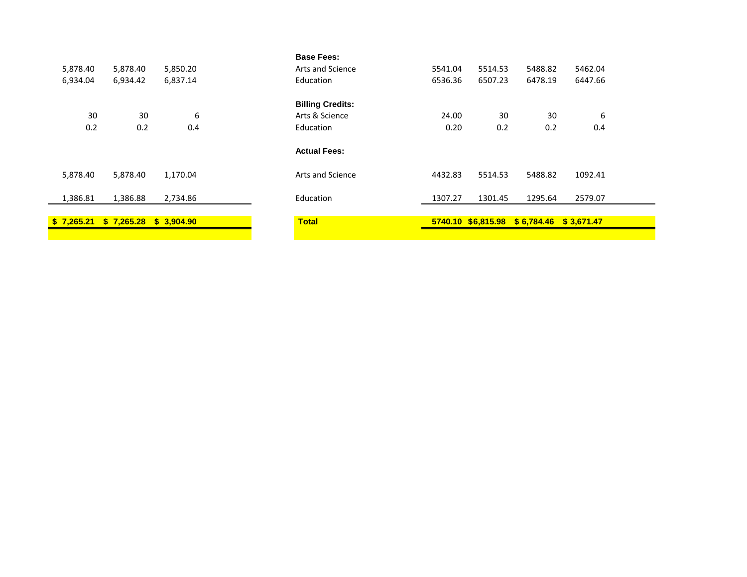|            |                         |          | <b>Base Fees:</b>       |         |                    |            |            |  |
|------------|-------------------------|----------|-------------------------|---------|--------------------|------------|------------|--|
| 5,878.40   | 5,878.40                | 5,850.20 | Arts and Science        | 5541.04 | 5514.53            | 5488.82    | 5462.04    |  |
| 6,934.04   | 6,934.42                | 6,837.14 | Education               | 6536.36 | 6507.23            | 6478.19    | 6447.66    |  |
|            |                         |          | <b>Billing Credits:</b> |         |                    |            |            |  |
| 30         | 30                      | 6        | Arts & Science          | 24.00   | 30                 | 30         | 6          |  |
| 0.2        | 0.2                     | 0.4      | Education               | 0.20    | 0.2                | 0.2        | 0.4        |  |
|            |                         |          | <b>Actual Fees:</b>     |         |                    |            |            |  |
| 5,878.40   | 5,878.40                | 1,170.04 | Arts and Science        | 4432.83 | 5514.53            | 5488.82    | 1092.41    |  |
| 1,386.81   | 1,386.88                | 2,734.86 | Education               | 1307.27 | 1301.45            | 1295.64    | 2579.07    |  |
| \$7,265.21 | $$7,265.28$ $$3,904.90$ |          | <b>Total</b>            |         | 5740.10 \$6,815.98 | \$6,784.46 | \$3,671.47 |  |
|            |                         |          |                         |         |                    |            |            |  |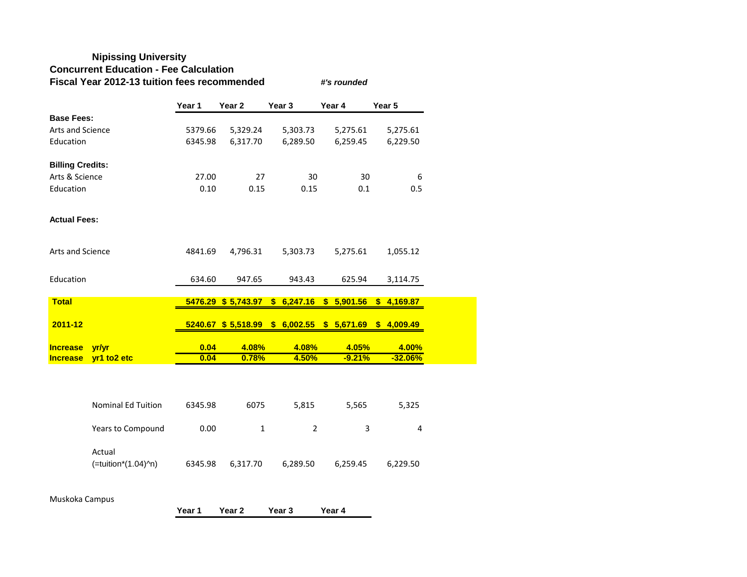### **Nipissing University Concurrent Education - Fee Calculation Fiscal Year 2012-13 tuition fees recommended** *#'s rounded*

**Year 1 Year 2 Year 3 Year 4 Year 5 Base Fees:** Arts and Science 5379.66 5,329.24 5,303.73 5,275.61 5,275.61 Education 6345.98 6,317.70 6,289.50 6,259.45 6,229.50 **Billing Credits:** Arts & Science 27.00 27 30 30 6 Education 0.10 0.15 0.15 0.1 0.5 **Actual Fees:** Arts and Science 4841.69 4,796.31 5,303.73 5,275.61 1,055.12 Education 634.60 947.65 943.43 625.94 3,114.75 **Total 5476.29 \$ 5,743.97 \$ 6,247.16 \$ 5,901.56 \$ 4,169.87 2011-12 5240.67 \$ 5,518.99 \$ 6,002.55 \$ 5,671.69 \$ 4,009.49 Increase yr/yr 1.08% 1.08% 4.08% 4.05% 4.00%**<br> **Increase yr1 to2 etc 1.000 1.000 1.0000 1.5000 1.50% 1.52.000 Increase yr1 to2 etc 0.04 0.78% 4.50% -9.21% -32.06%**

| <b>Nominal Ed Tuition</b>     | 6345.98 | 6075     | 5,815    | 5.565    | 5,325    |
|-------------------------------|---------|----------|----------|----------|----------|
| Years to Compound             | 0.00    |          |          | ર        | 4        |
| Actual<br>(=tuition*(1.04)^n) | 6345.98 | 6.317.70 | 6,289.50 | 6,259.45 | 6,229.50 |

Muskoka Campus

|  | Year 1 | Year 2 | Year 3 | Year 4 |
|--|--------|--------|--------|--------|
|--|--------|--------|--------|--------|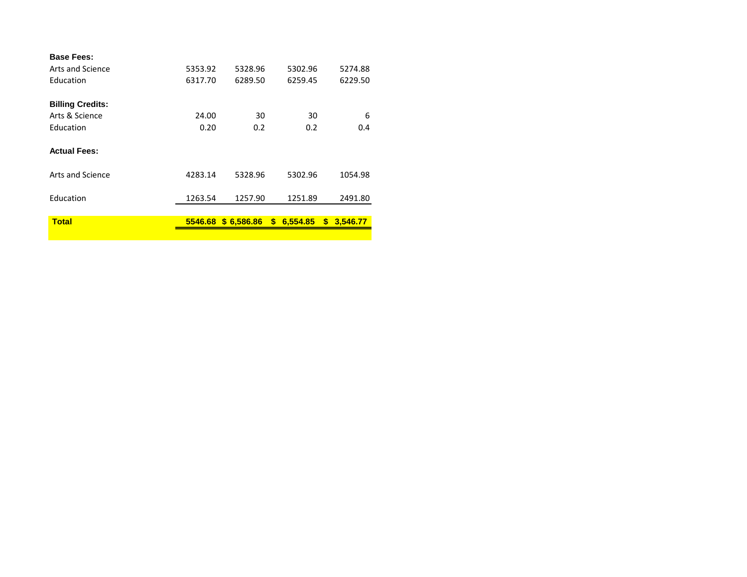| <b>Base Fees:</b><br>Arts and Science | 5353.92 | 5328.96            | 5302.96        | 5274.88        |
|---------------------------------------|---------|--------------------|----------------|----------------|
|                                       |         |                    |                |                |
| Education                             | 6317.70 | 6289.50            | 6259.45        | 6229.50        |
| <b>Billing Credits:</b>               |         |                    |                |                |
| Arts & Science                        | 24.00   | 30                 | 30             | 6              |
| Education                             | 0.20    | 0.2                | 0.2            | 0.4            |
| <b>Actual Fees:</b>                   |         |                    |                |                |
| Arts and Science                      | 4283.14 | 5328.96            | 5302.96        | 1054.98        |
| Education                             | 1263.54 | 1257.90            | 1251.89        | 2491.80        |
| <b>Total</b>                          |         | 5546.68 \$6,586.86 | 6,554.85<br>S. | 3,546.77<br>S. |
|                                       |         |                    |                |                |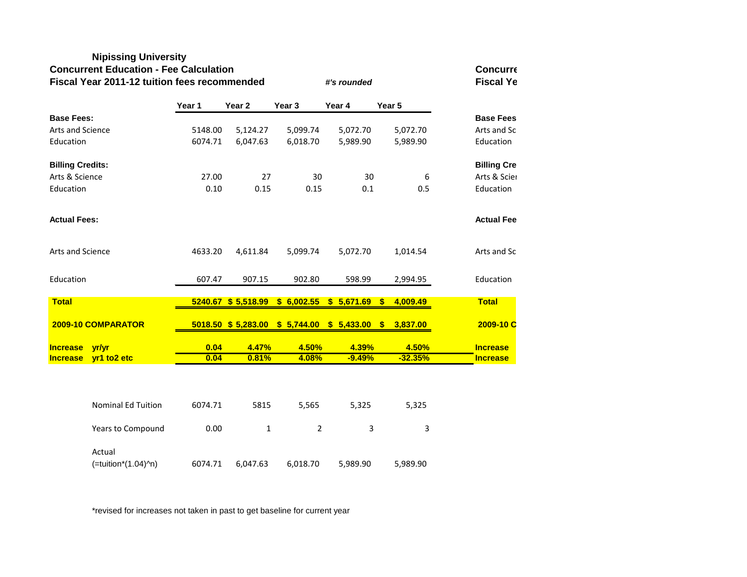### **Nipissing University**

### **Concurrent Education - Fee Calculation Concurrent Education Concurre**

**Fiscal Year 2011-12 tuition fees recommended** *#'s rounded* **Fiscal Ye Year 1 Year 2 Year 3 Year 4 Year 5 Base Fees: Base Fees** Arts and Science **5148.00** 5,124.27 5,099.74 5,072.70 5,072.70 Arts and Sc Education 6074.71 6,047.63 6,018.70 5,989.90 5,989.90 Education **Billing Credits: Billing Cre** Arts & Science 27.00 27 30 30 6 Arts & Scien Education  $0.10$   $0.15$   $0.15$   $0.1$   $0.5$  Education **Actual Fees: Actual Fee** Arts and Science 2012 1633.20 4,611.84 5,099.74 5,072.70 1,014.54 Arts and Sc Education 607.47 907.15 902.80 598.99 2,994.95 Education **Total 5240.67 \$ 5,518.99 \$ 6,002.55 \$ 5,671.69 \$ 4,009.49 Total 2009-10 COMPARATOR 5018.50 \$ 5,283.00 \$ 5,744.00 \$ 5,433.00 \$ 3,837.00 2009-10 C Increase yr/yr 0.04 4.47% 4.50% 4.39% 4.50% Increase Increase yr1 to2 etc 0.04 0.81% 4.08% -9.49% -32.35% Increase**

| <b>Nominal Ed Tuition</b>     | 6074.71 | 5815     | 5.565    | 5.325    | 5,325    |
|-------------------------------|---------|----------|----------|----------|----------|
| Years to Compound             | 0.00    |          |          | 3        | 3        |
| Actual<br>(=tuition*(1.04)^n) | 6074.71 | 6,047.63 | 6,018.70 | 5,989.90 | 5,989.90 |

\*revised for increases not taken in past to get baseline for current year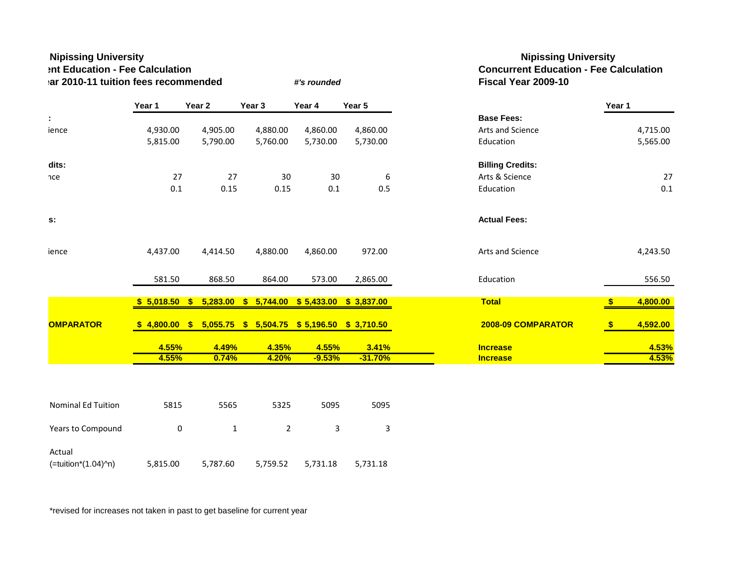| <b>Nipissing University</b><br>Int Education - Fee Calculation<br>lar 2010-11 tuition fees recommended |          |                                                             |          | #'s rounded |            | <b>Nipissing University</b><br><b>Concurrent Education - Fee Calculation</b><br>Fiscal Year 2009-10 |                           |
|--------------------------------------------------------------------------------------------------------|----------|-------------------------------------------------------------|----------|-------------|------------|-----------------------------------------------------------------------------------------------------|---------------------------|
|                                                                                                        | Year 1   | Year 2                                                      | Year 3   | Year 4      | Year 5     |                                                                                                     | Year 1                    |
| ÷                                                                                                      |          |                                                             |          |             |            | <b>Base Fees:</b>                                                                                   |                           |
| ience                                                                                                  | 4,930.00 | 4,905.00                                                    | 4,880.00 | 4,860.00    | 4,860.00   | Arts and Science                                                                                    | 4,715.00                  |
|                                                                                                        | 5,815.00 | 5,790.00                                                    | 5,760.00 | 5,730.00    | 5,730.00   | Education                                                                                           | 5,565.00                  |
| dits:                                                                                                  |          |                                                             |          |             |            | <b>Billing Credits:</b>                                                                             |                           |
| nce                                                                                                    | 27       | 27                                                          | 30       | 30          | 6          | Arts & Science                                                                                      | 27                        |
|                                                                                                        | 0.1      | 0.15                                                        | 0.15     | 0.1         | 0.5        | Education                                                                                           | 0.1                       |
| s:                                                                                                     |          |                                                             |          |             |            | <b>Actual Fees:</b>                                                                                 |                           |
| ience                                                                                                  | 4,437.00 | 4,414.50                                                    | 4,880.00 | 4,860.00    | 972.00     | Arts and Science                                                                                    | 4,243.50                  |
|                                                                                                        | 581.50   | 868.50                                                      | 864.00   | 573.00      | 2,865.00   | Education                                                                                           | 556.50                    |
|                                                                                                        |          | $$5,018.50$ \$ 5,283.00 \$ 5,744.00 \$ 5,433.00             |          |             | \$3,837.00 | <b>Total</b>                                                                                        | 4,800.00<br>$\frac{1}{2}$ |
| <b>OMPARATOR</b>                                                                                       |          | $$4,800.00$ $$5,055.75$ $$5,504.75$ $$5,196.50$ $$3,710.50$ |          |             |            | 2008-09 COMPARATOR                                                                                  | 4,592.00<br>$\sqrt[3]{2}$ |
|                                                                                                        | 4.55%    | 4.49%                                                       | 4.35%    | 4.55%       | 3.41%      | <b>Increase</b>                                                                                     | 4.53%                     |
|                                                                                                        | 4.55%    | 0.74%                                                       | 4.20%    | $-9.53%$    | $-31.70%$  | <b>Increase</b>                                                                                     | 4.53%                     |

| Years to Compound |  |  | c<br>້ |
|-------------------|--|--|--------|

| Actual              |          |          |  |  |
|---------------------|----------|----------|--|--|
| (=tuition*(1.04)^n) | 5,815.00 | 5.787.60 |  |  |

\*revised for increases not taken in past to get baseline for current year